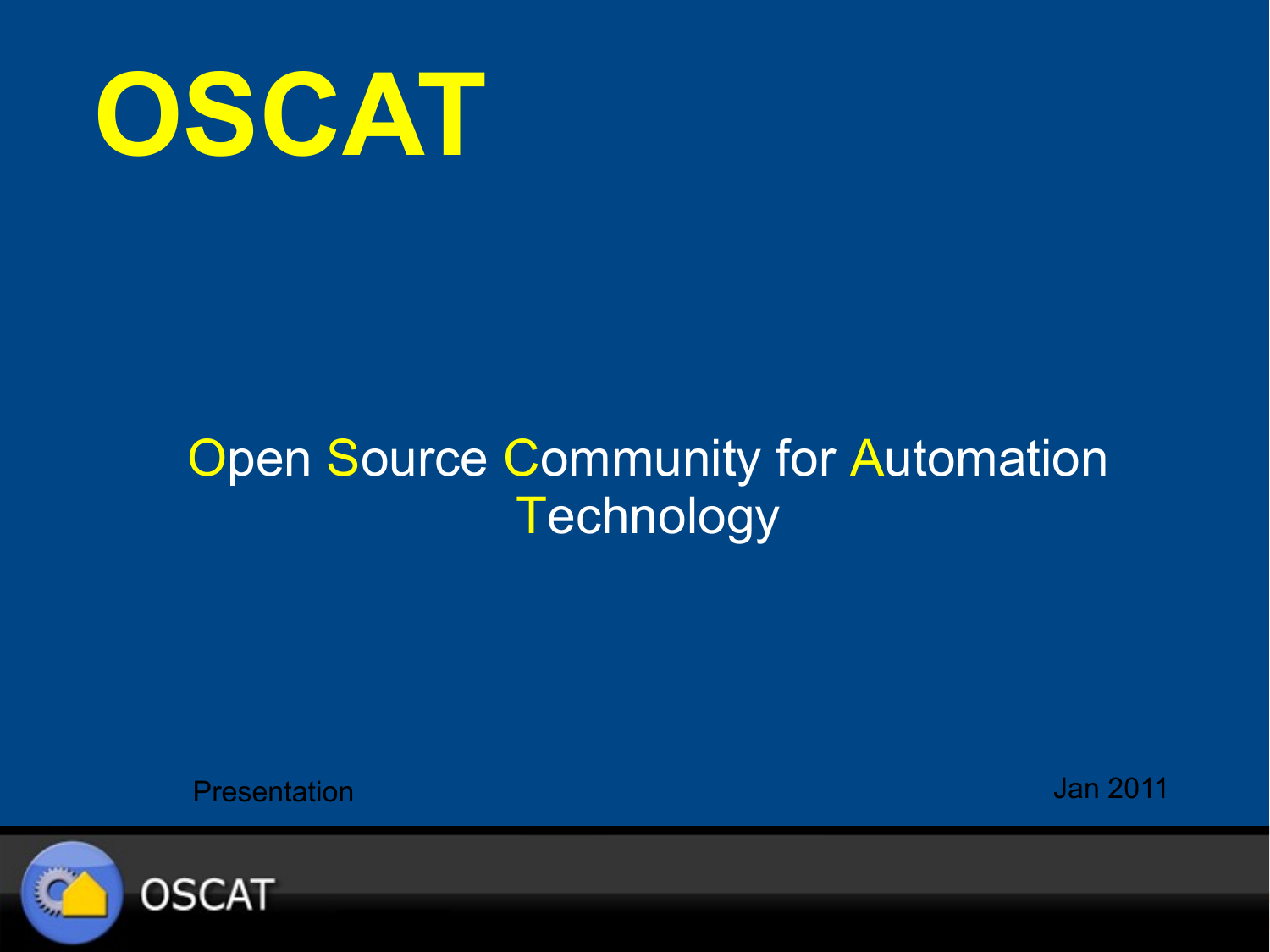

#### **Open Source Community for Automation Technology**

**Presentation Jan 2011** 

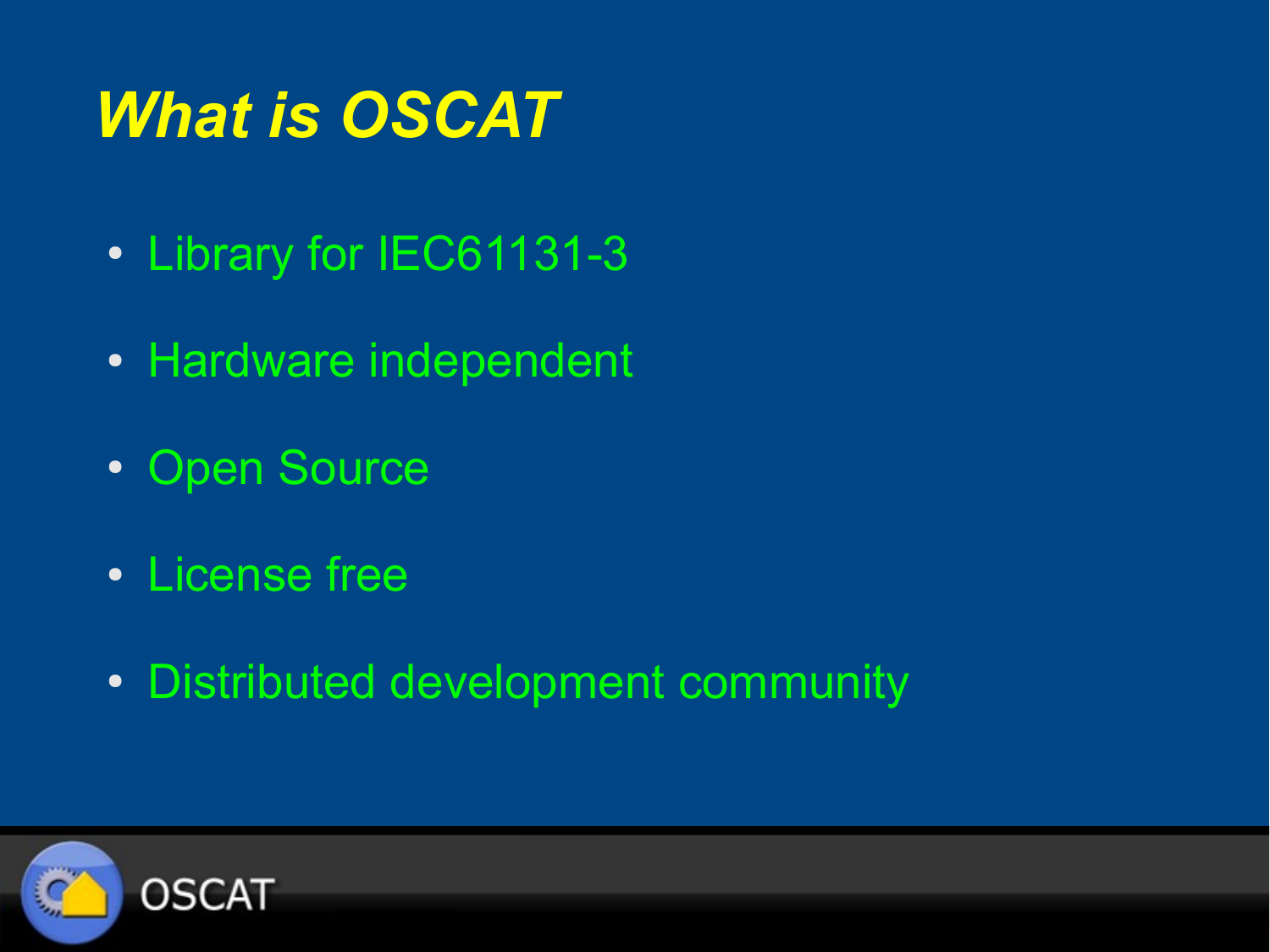# *What is OSCAT*

- Library for IEC61131-3
- Hardware independent
- Open Source
- License free
- Distributed development community

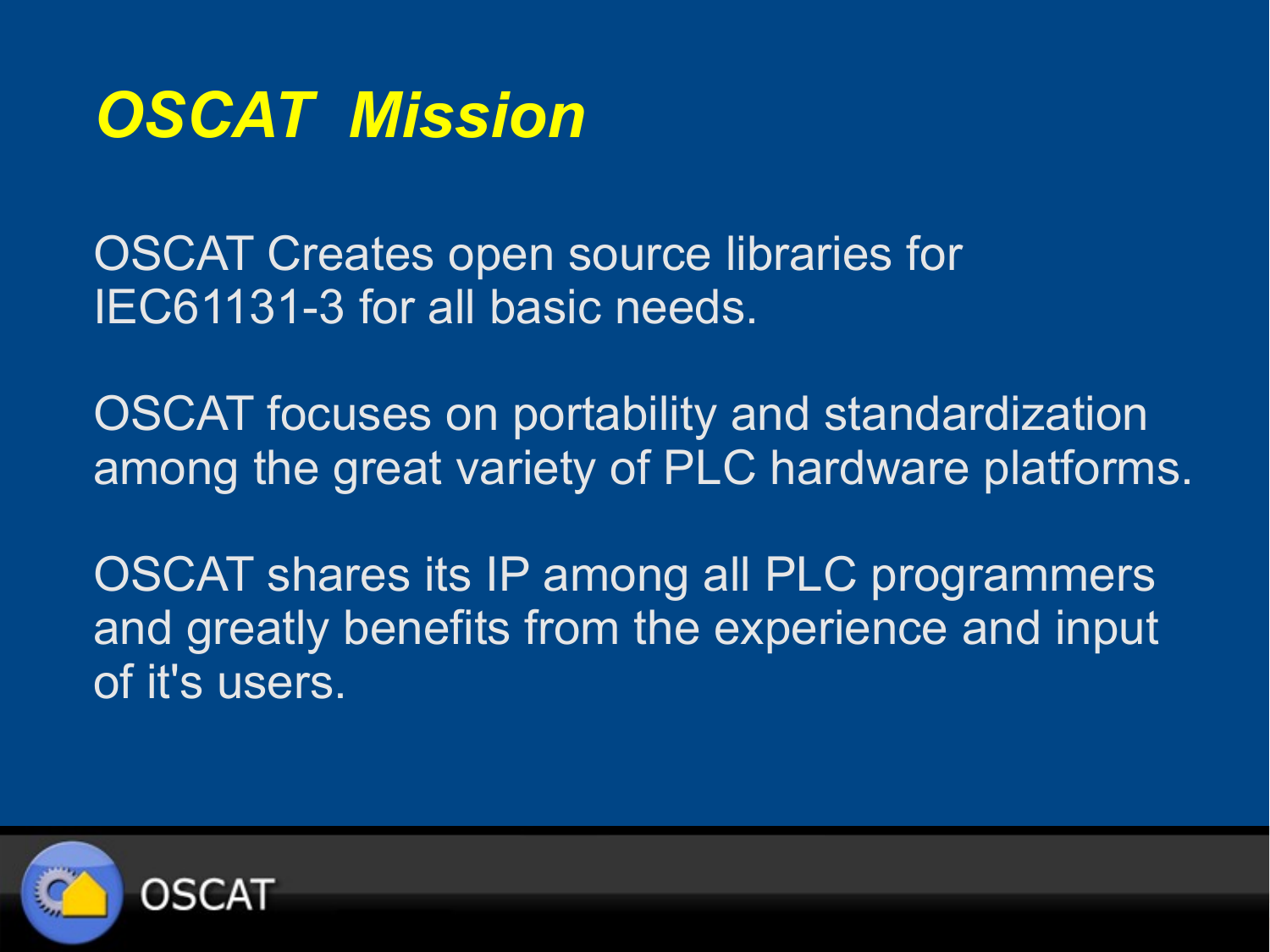

OSCAT Creates open source libraries for IEC61131-3 for all basic needs.

OSCAT focuses on portability and standardization among the great variety of PLC hardware platforms.

OSCAT shares its IP among all PLC programmers and greatly benefits from the experience and input of it's users.

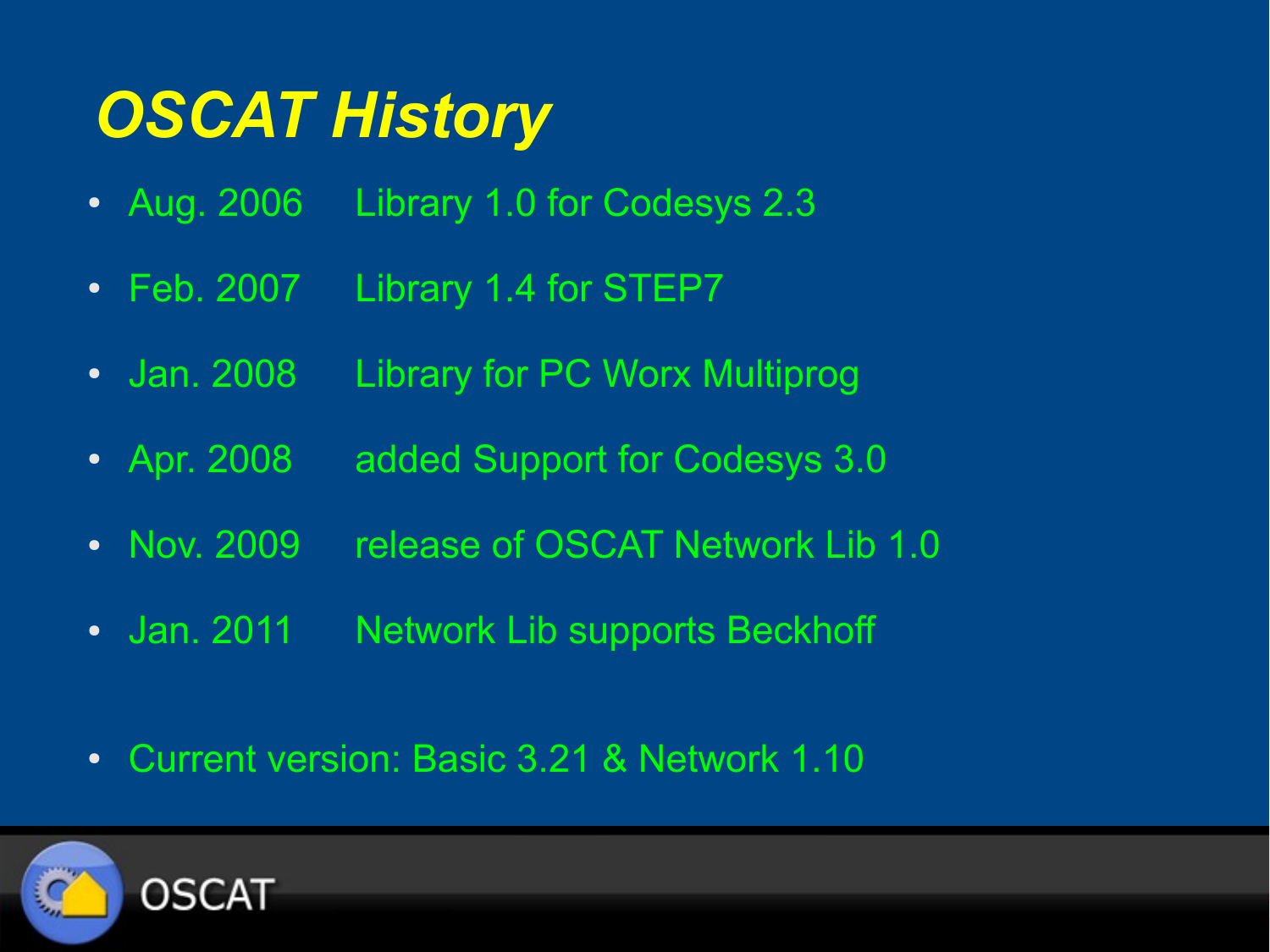# *OSCAT History*

- Aug. 2006 Library 1.0 for Codesys 2.3
- Feb. 2007 Library 1.4 for STEP7
- Jan. 2008 Library for PC Worx Multiprog
- Apr. 2008 added Support for Codesys 3.0
- Nov. 2009 release of OSCAT Network Lib 1.0
- Jan. 2011 Network Lib supports Beckhoff
- Current version: Basic 3.21 & Network 1.10

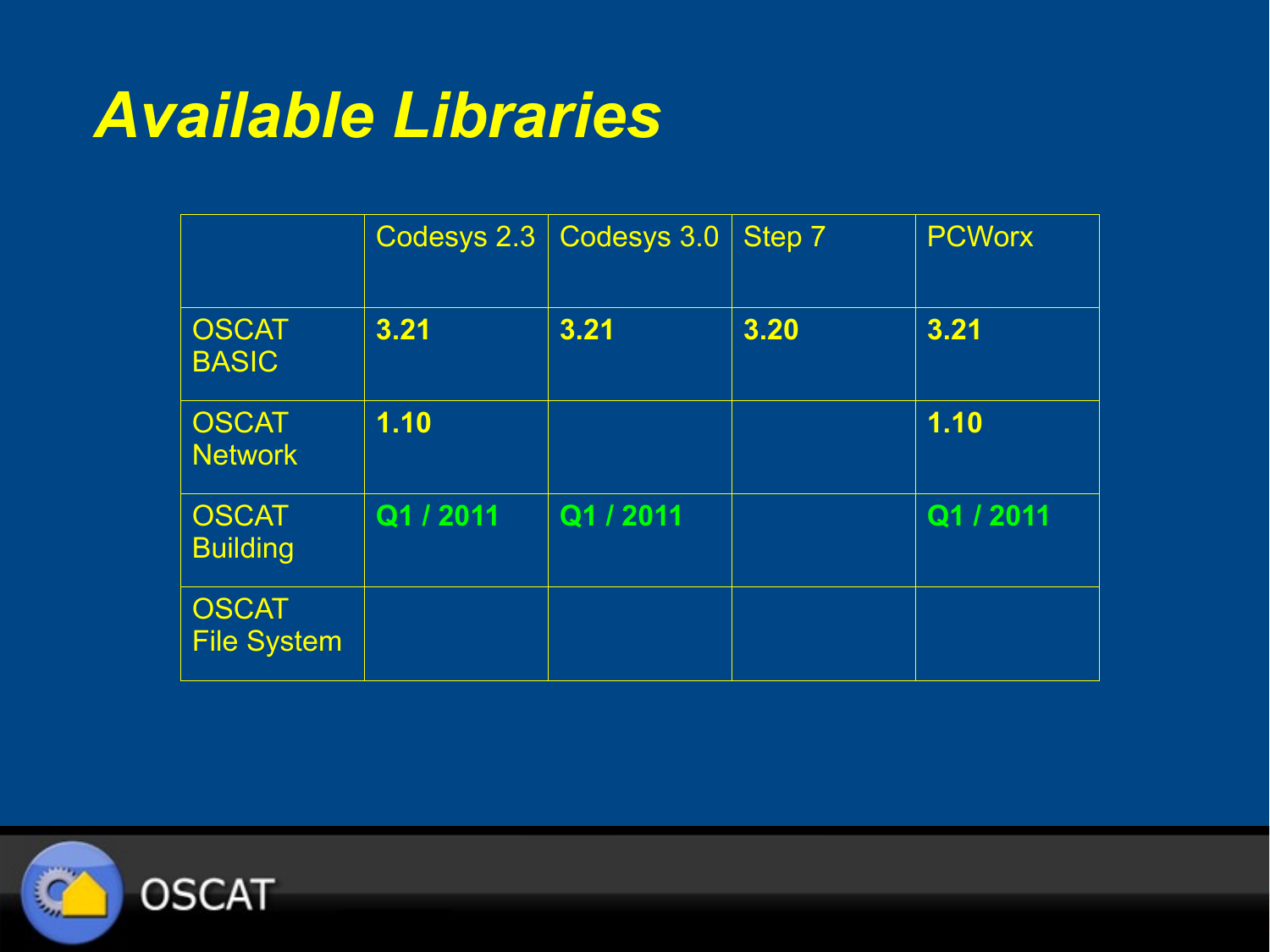#### *Available Libraries*

|                                    | Codesys 2.3 | Codesys 3.0 | Step 7 | <b>PCWorx</b> |
|------------------------------------|-------------|-------------|--------|---------------|
| <b>OSCAT</b><br><b>BASIC</b>       | 3.21        | 3.21        | 3.20   | 3.21          |
| <b>OSCAT</b><br><b>Network</b>     | 1.10        |             |        | 1.10          |
| <b>OSCAT</b><br><b>Building</b>    | Q1 / 2011   | Q1 / 2011   |        | Q1 / 2011     |
| <b>OSCAT</b><br><b>File System</b> |             |             |        |               |

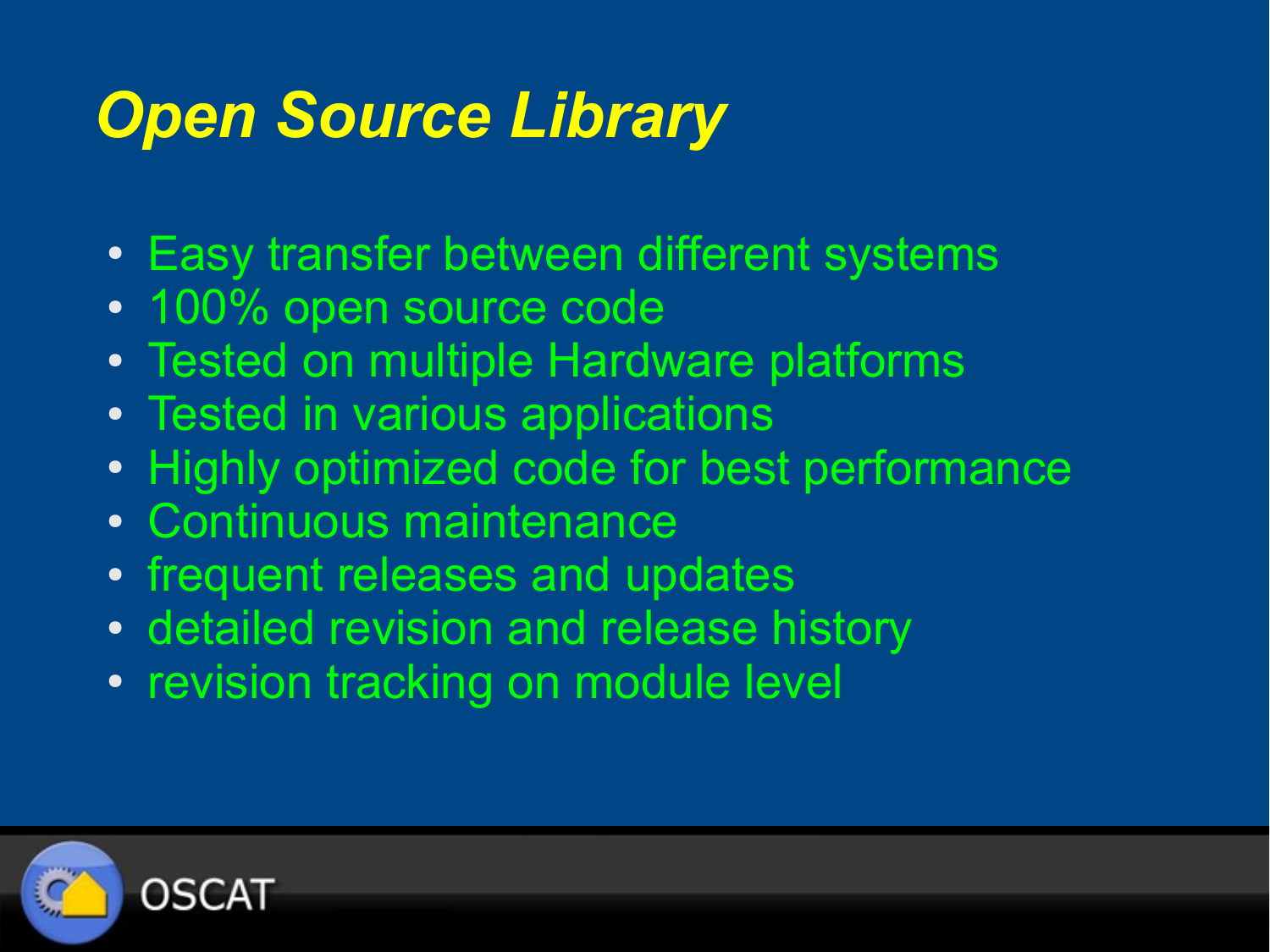## *Open Source Library*

- Easy transfer between different systems
- 100% open source code
- Tested on multiple Hardware platforms
- Tested in various applications
- Highly optimized code for best performance
- Continuous maintenance
- frequent releases and updates
- detailed revision and release history
- revision tracking on module level

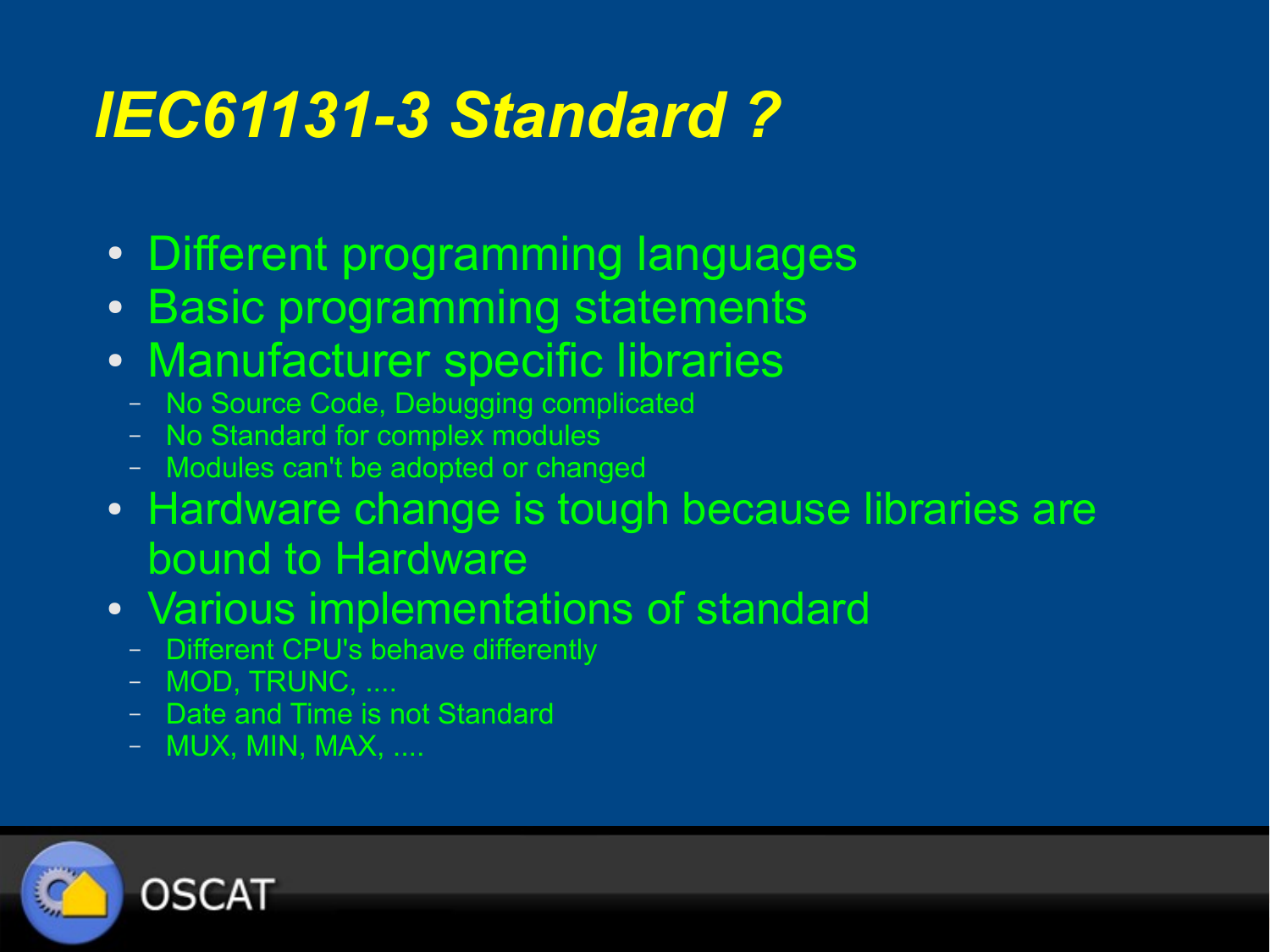### *IEC61131-3 Standard ?*

- Different programming languages
- Basic programming statements
- Manufacturer specific libraries
	- No Source Code, Debugging complicated
	- No Standard for complex modules
	- Modules can't be adopted or changed
- Hardware change is tough because libraries are bound to Hardware
- Various implementations of standard
	- Different CPU's behave differently
	- MOD, TRUNC, ....
	- Date and Time is not Standard
	- MUX, MIN, MAX, ....

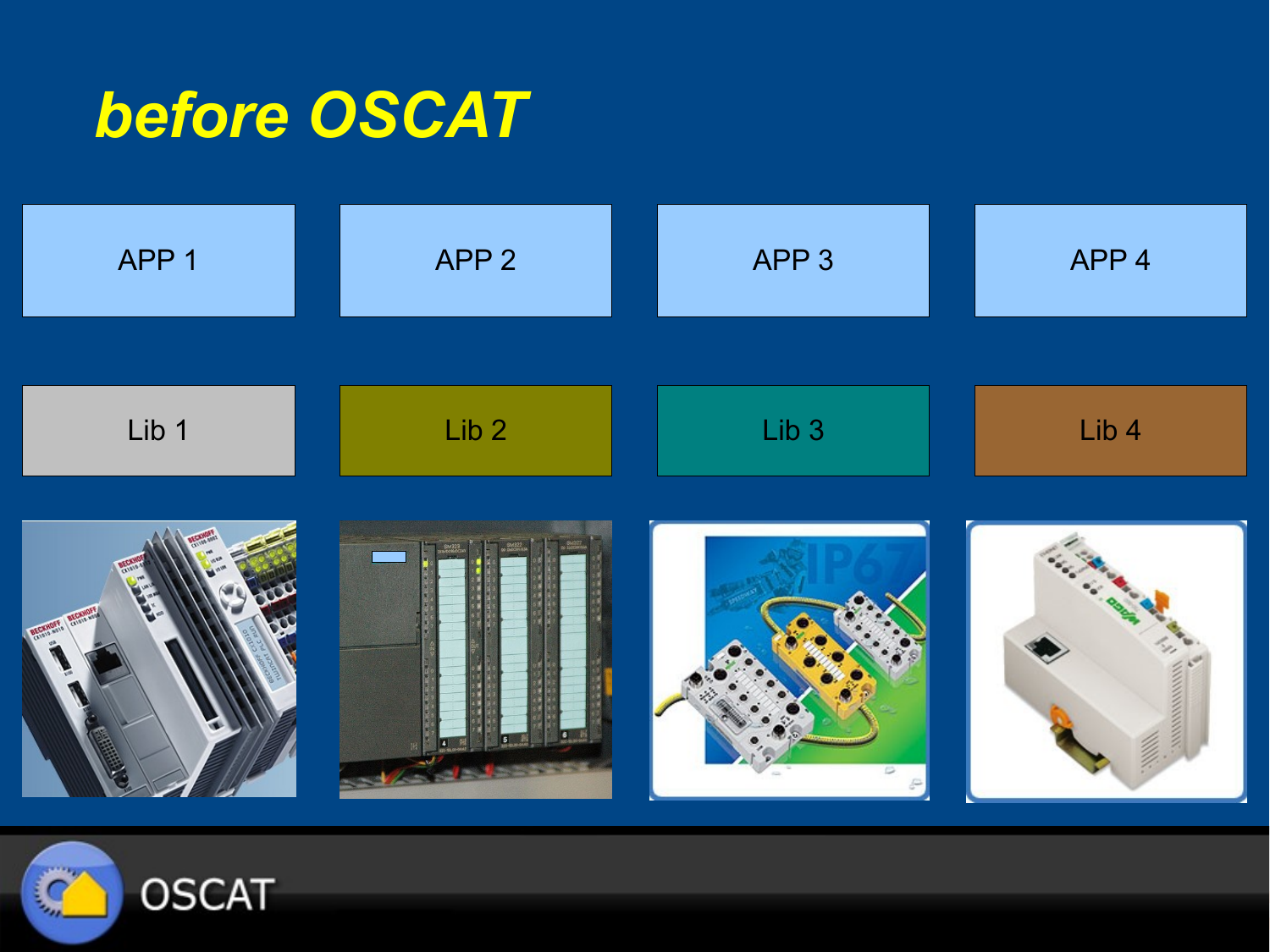#### *before OSCAT*

| APP 1        | APP <sub>2</sub> | APP <sub>3</sub> | APP <sub>4</sub> |
|--------------|------------------|------------------|------------------|
|              |                  |                  |                  |
| Lib 1        | Lib <sub>2</sub> | Lib <sub>3</sub> | Lib <sub>4</sub> |
| <b>BECKH</b> |                  | $\circ$<br>ß.    |                  |

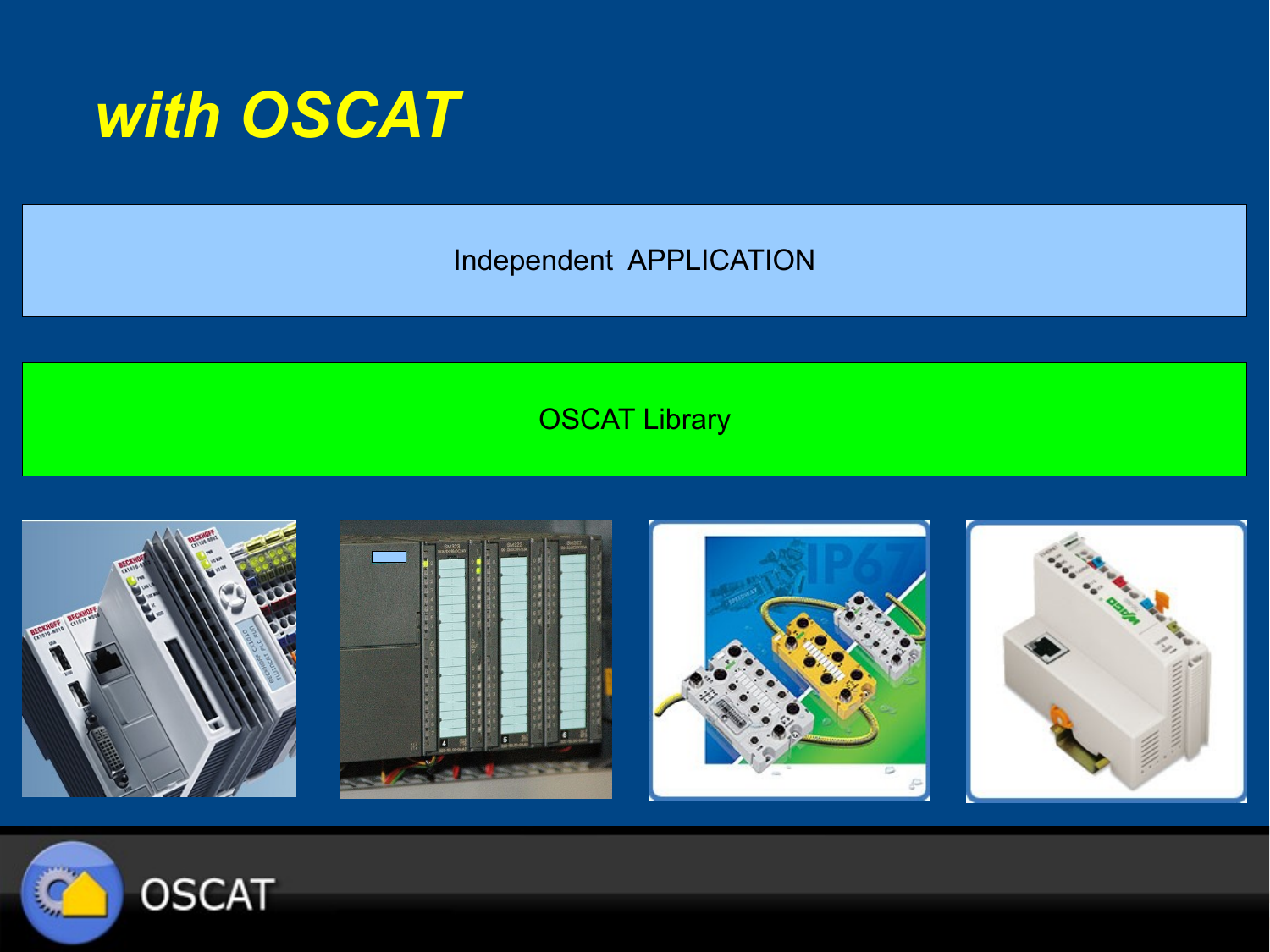

Independent APPLICATION

#### **OSCAT Library**



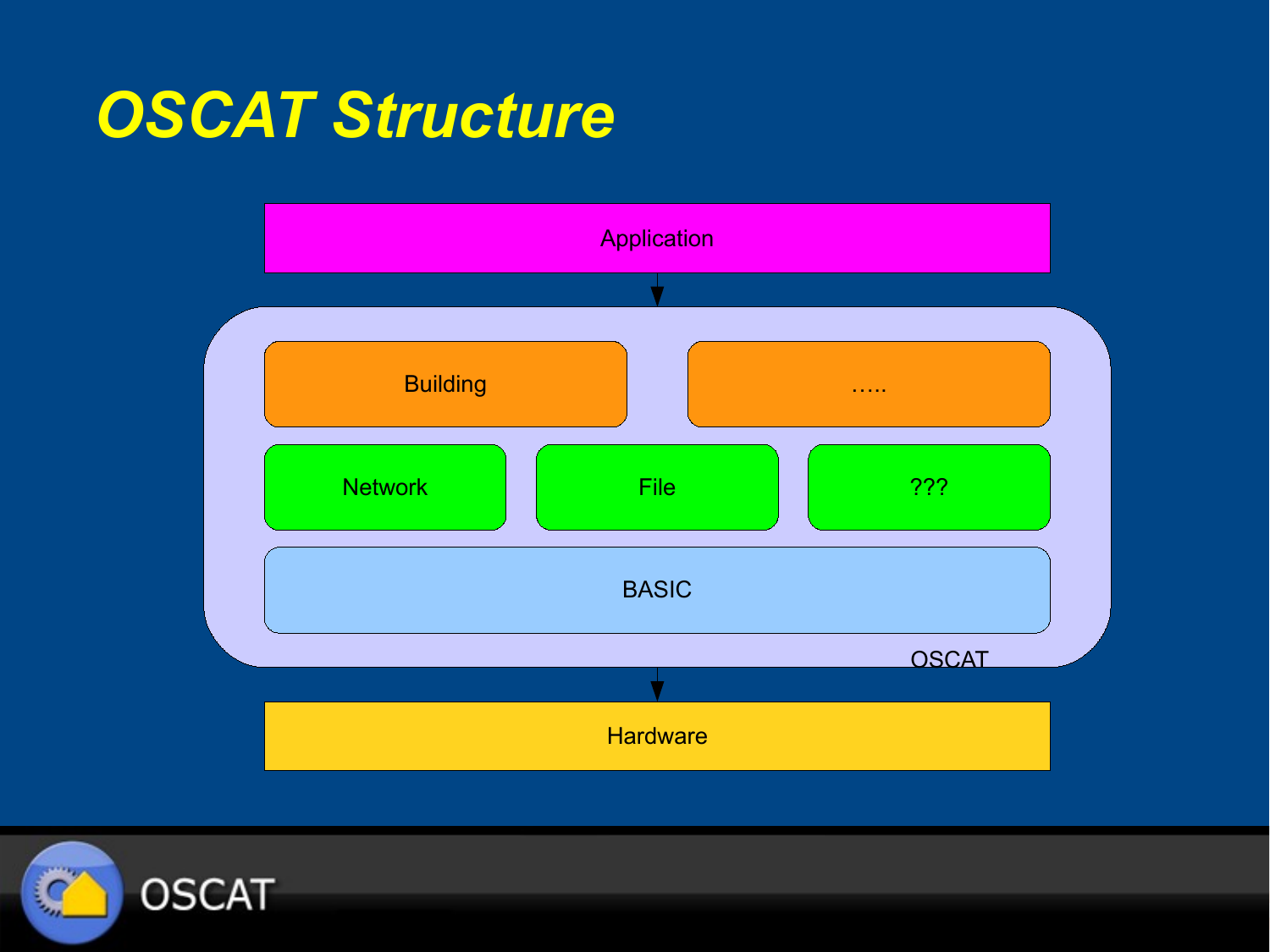#### *OSCAT Structure*



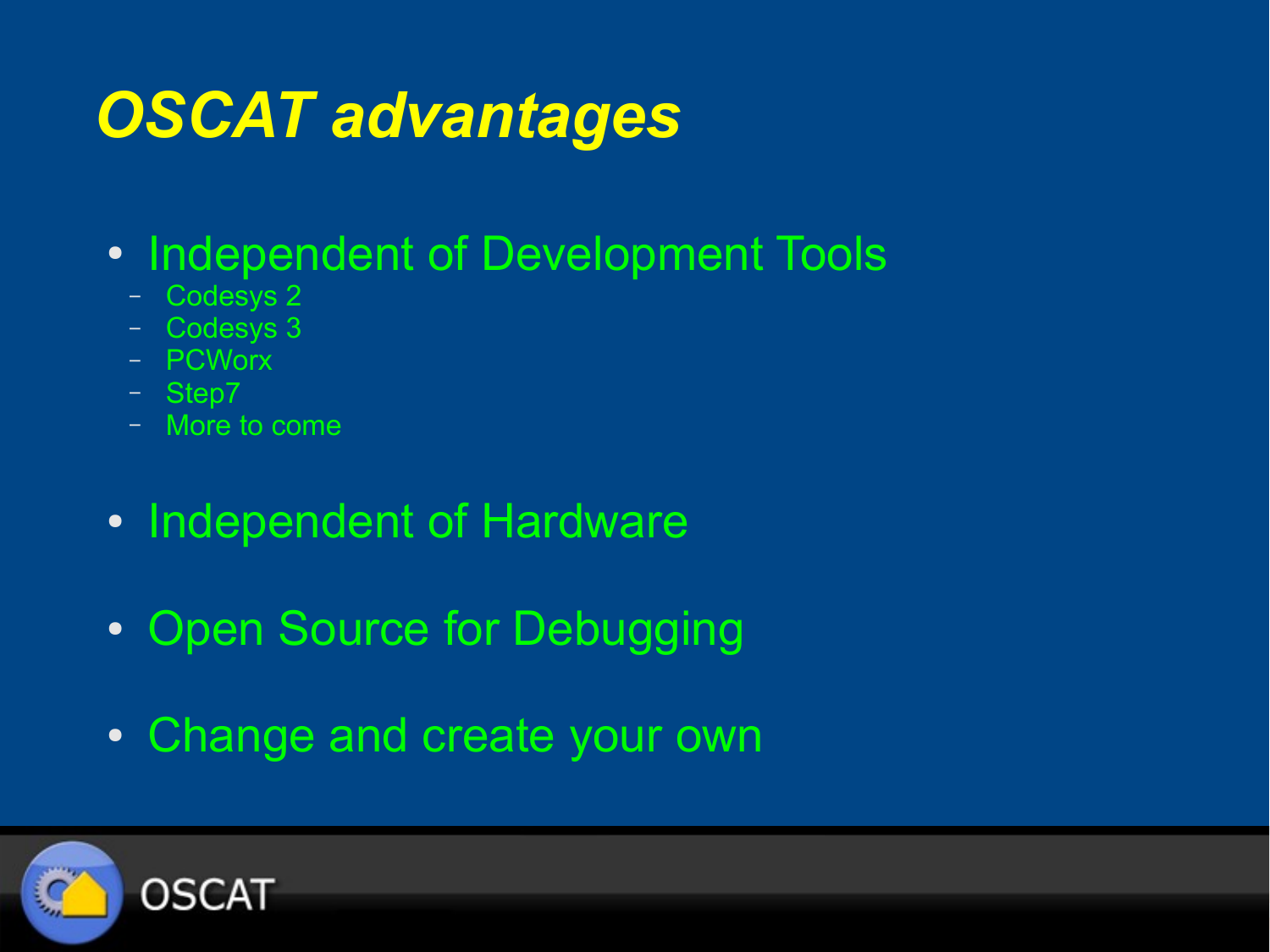# *OSCAT advantages*

- Independent of Development Tools
	- Codesys 2
	- Codesys 3
	- PCWorx
	- Step7
	- More to come
- Independent of Hardware
- Open Source for Debugging
- Change and create your own

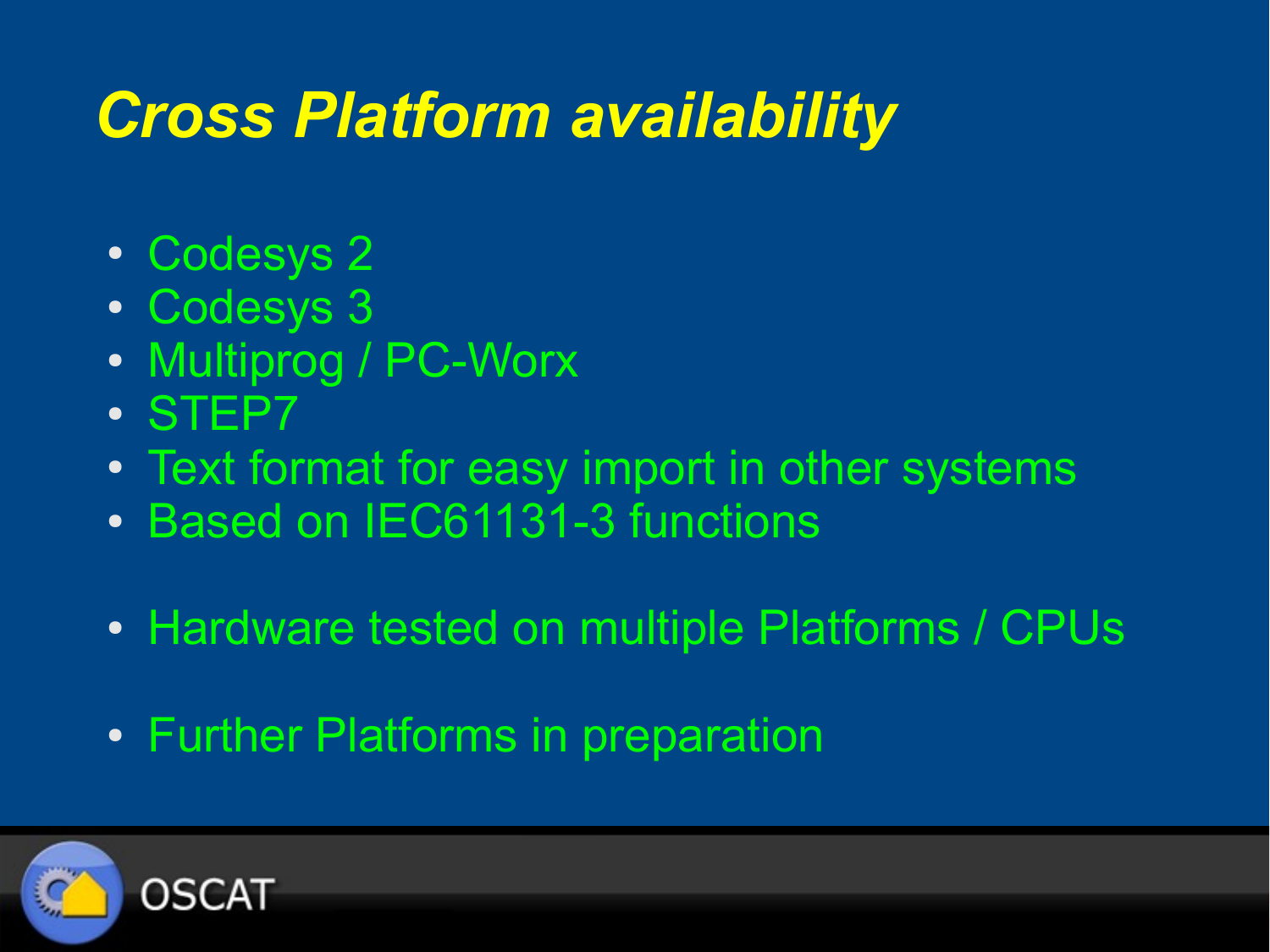#### *Cross Platform availability*

- Codesys 2
- Codesys 3
- Multiprog / PC-Worx
- STEP7
- Text format for easy import in other systems
- Based on IEC61131-3 functions
- Hardware tested on multiple Platforms / CPUs
- Further Platforms in preparation

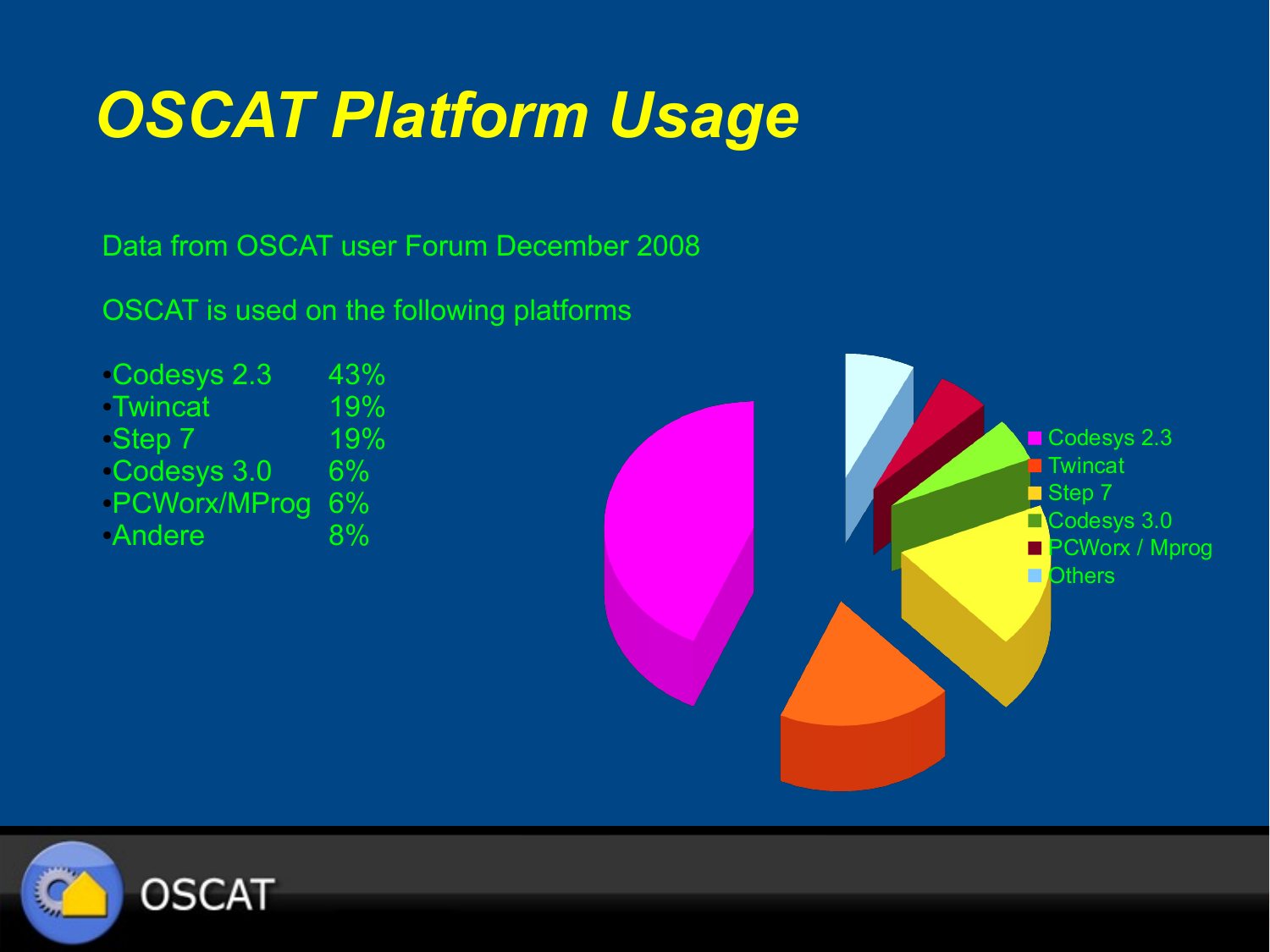## *OSCAT Platform Usage*

Data from OSCAT user Forum December 2008

OSCAT is used on the following platforms

 $\cdot$ Codesys 2.3 43% ●Twincat 19% ●Step 7 19%  $\cdot$ Codesys 3.0 6% ●PCWorx/MProg 6% ●Andere 8%



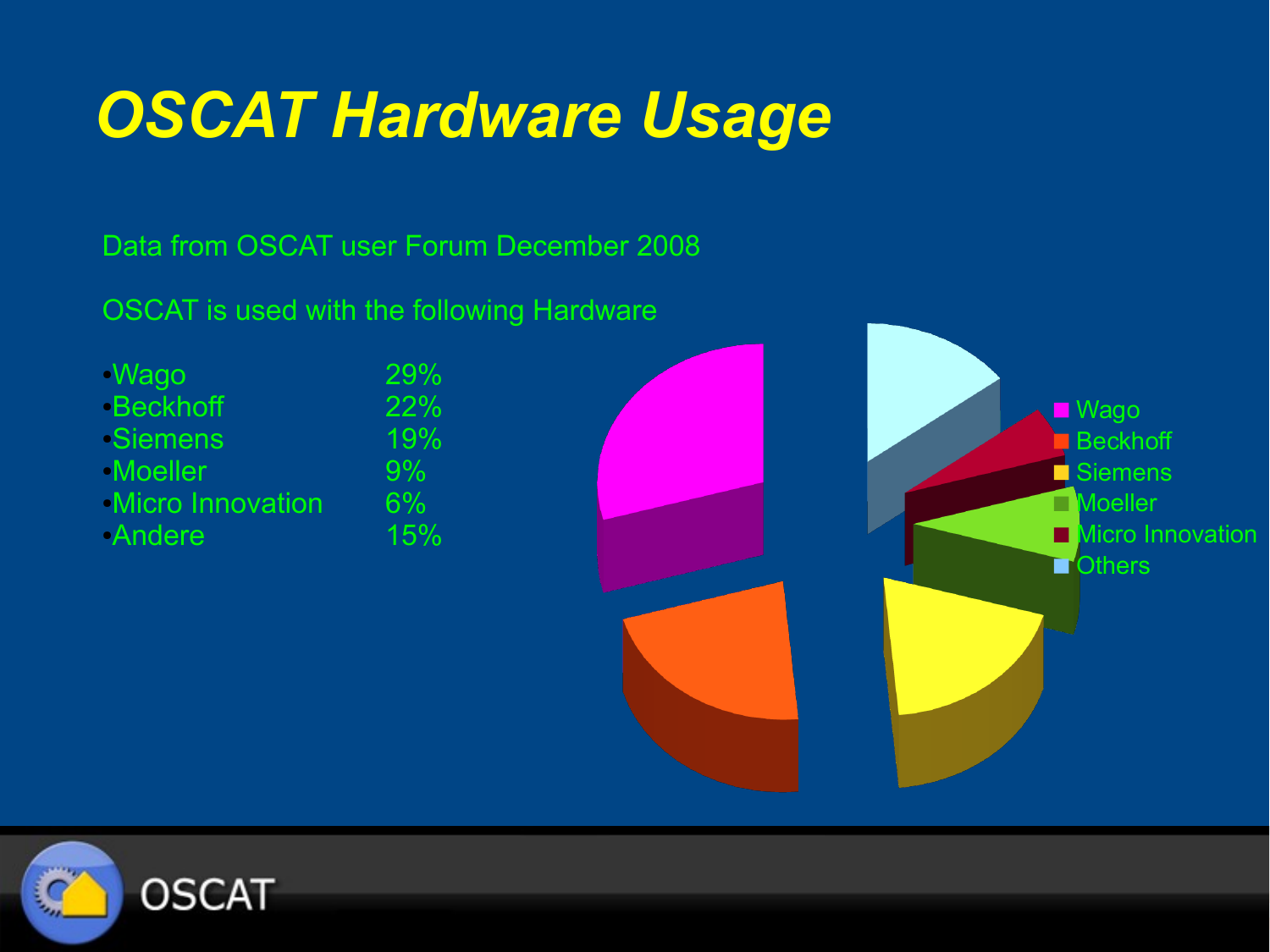#### *OSCAT Hardware Usage*

Data from OSCAT user Forum December 2008

OSCAT is used with the following Hardware

●Wago 29% ●Beckhoff 22% ●Siemens 19% ●Moeller 9% •Micro Innovation 6%<br>•Andere 15% •Andere



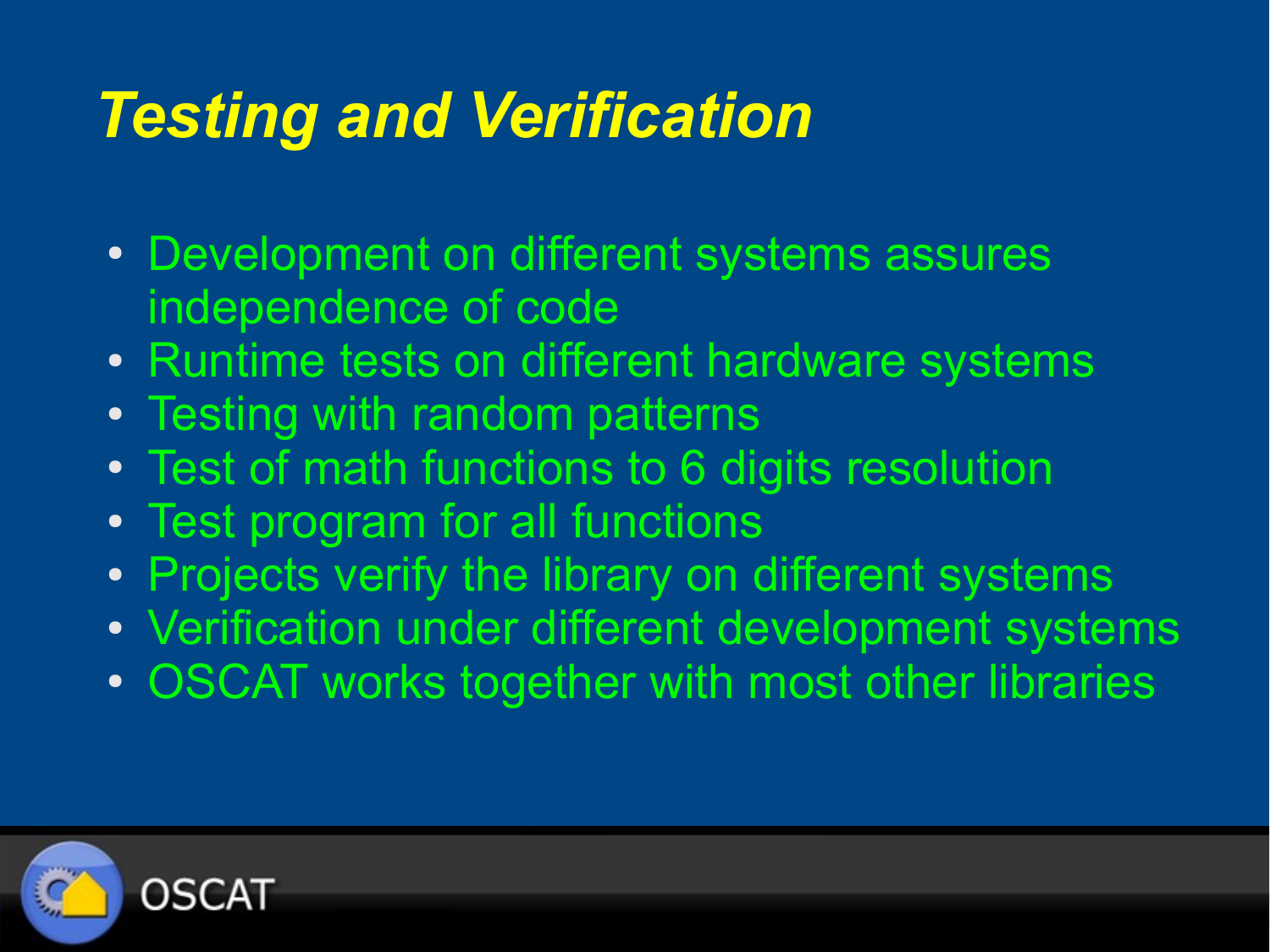#### *Testing and Verification*

- Development on different systems assures independence of code
- Runtime tests on different hardware systems
- Testing with random patterns
- Test of math functions to 6 digits resolution
- Test program for all functions
- Projects verify the library on different systems
- Verification under different development systems
- OSCAT works together with most other libraries

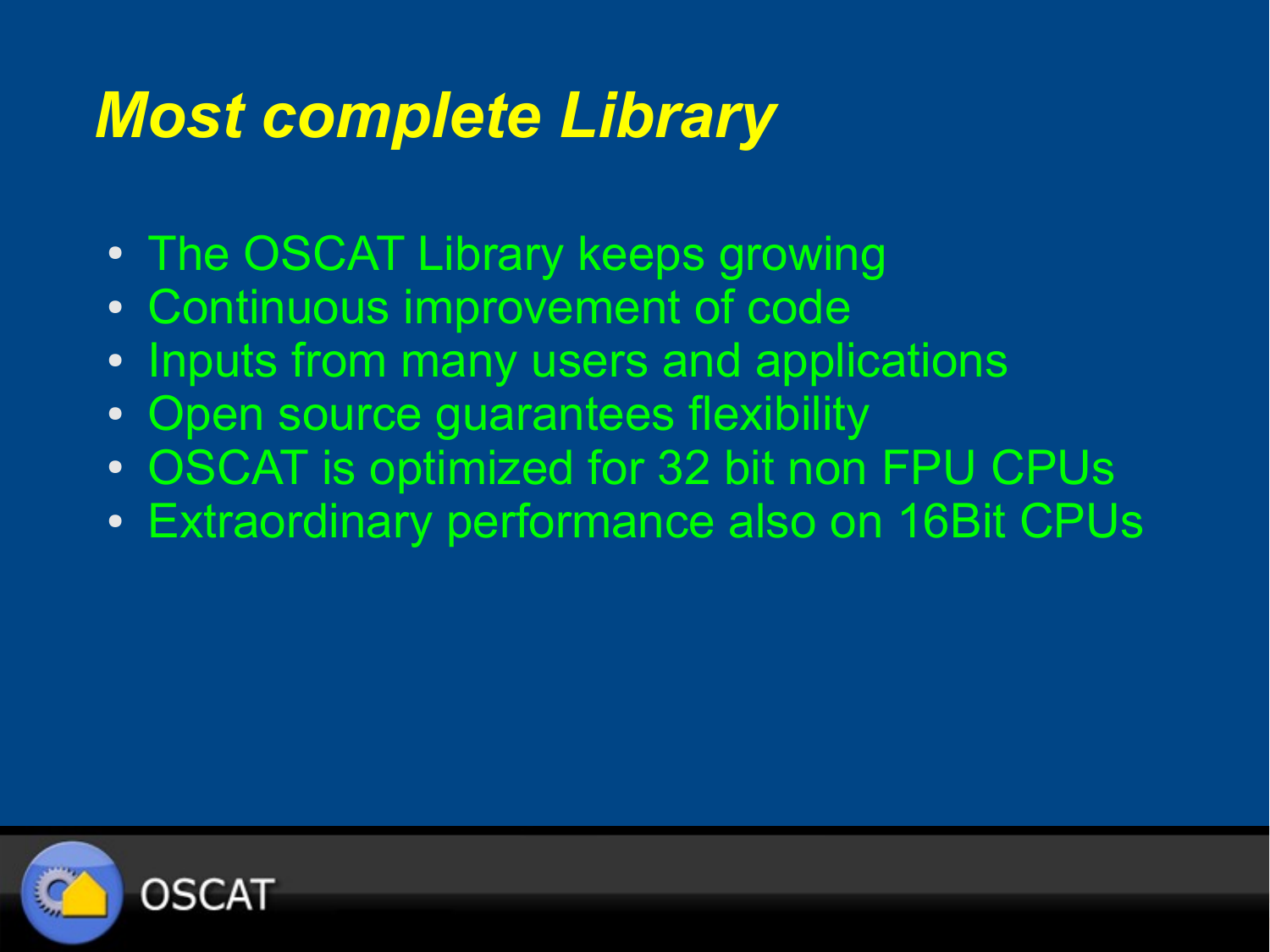#### *Most complete Library*

- The OSCAT Library keeps growing
- Continuous improvement of code
- Inputs from many users and applications
- Open source quarantees flexibility
- OSCAT is optimized for 32 bit non FPU CPUs
- Extraordinary performance also on 16Bit CPUs

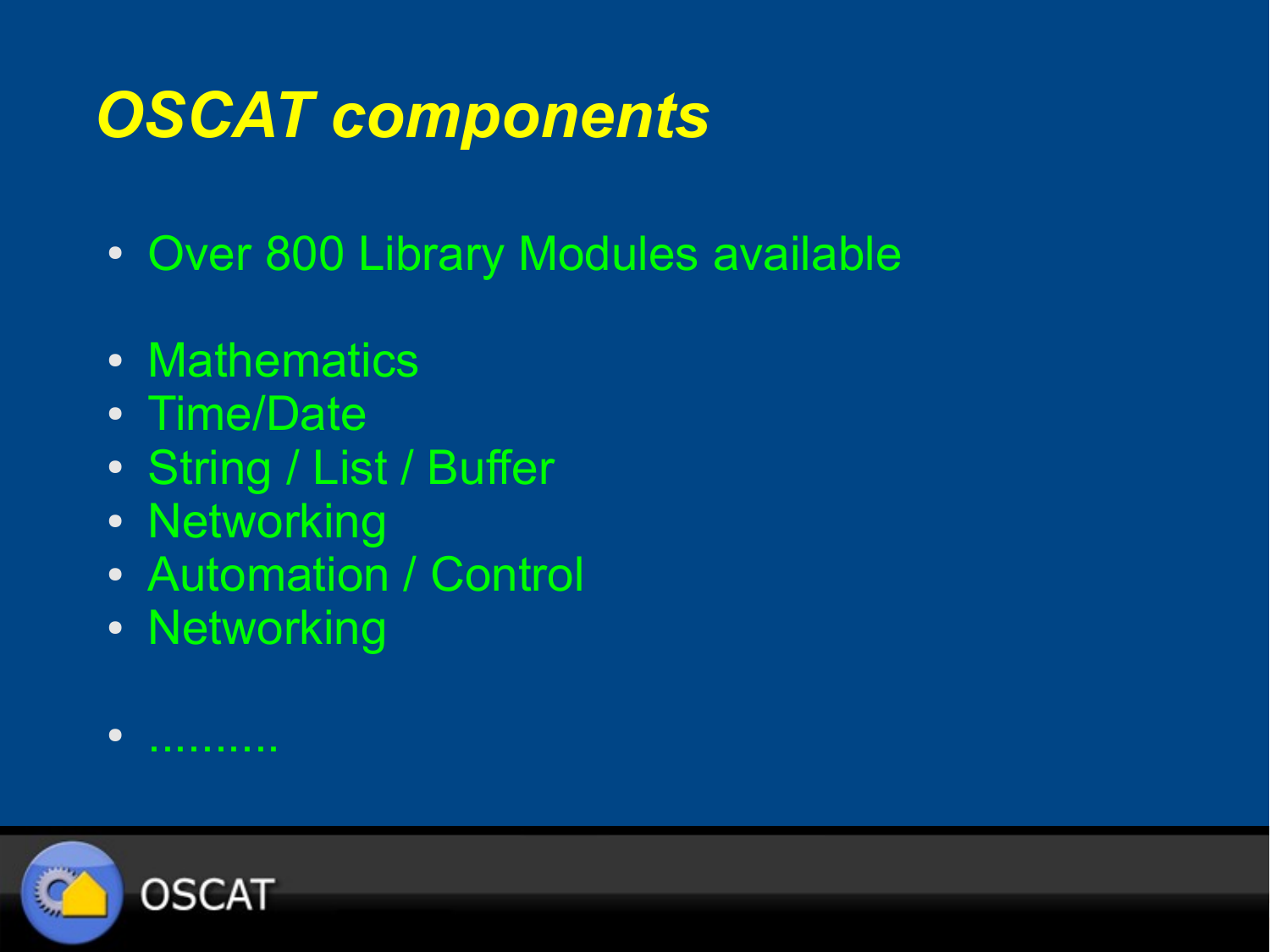# *OSCAT components*

- Over 800 Library Modules available
- Mathematics
- Time/Date
- String / List / Buffer
- Networking
- Automation / Control
- Networking

● ..........

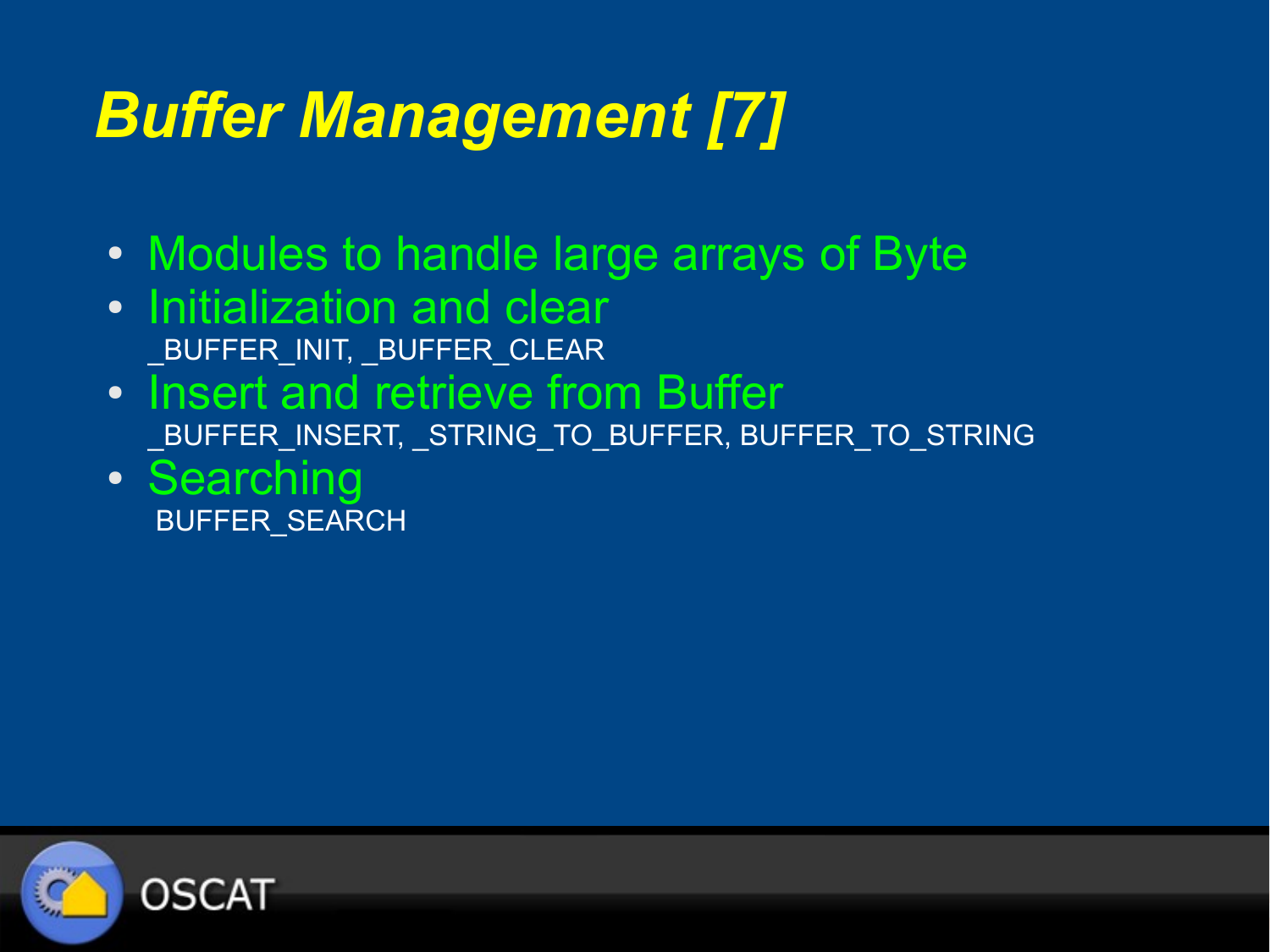### *Buffer Management [7]*

- Modules to handle large arrays of Byte
- Initialization and clear \_BUFFER\_INIT, \_BUFFER\_CLEAR
- Insert and retrieve from Buffer \_BUFFER\_INSERT, \_STRING\_TO\_BUFFER, BUFFER\_TO\_STRING
- Searching BUFFER\_SEARCH

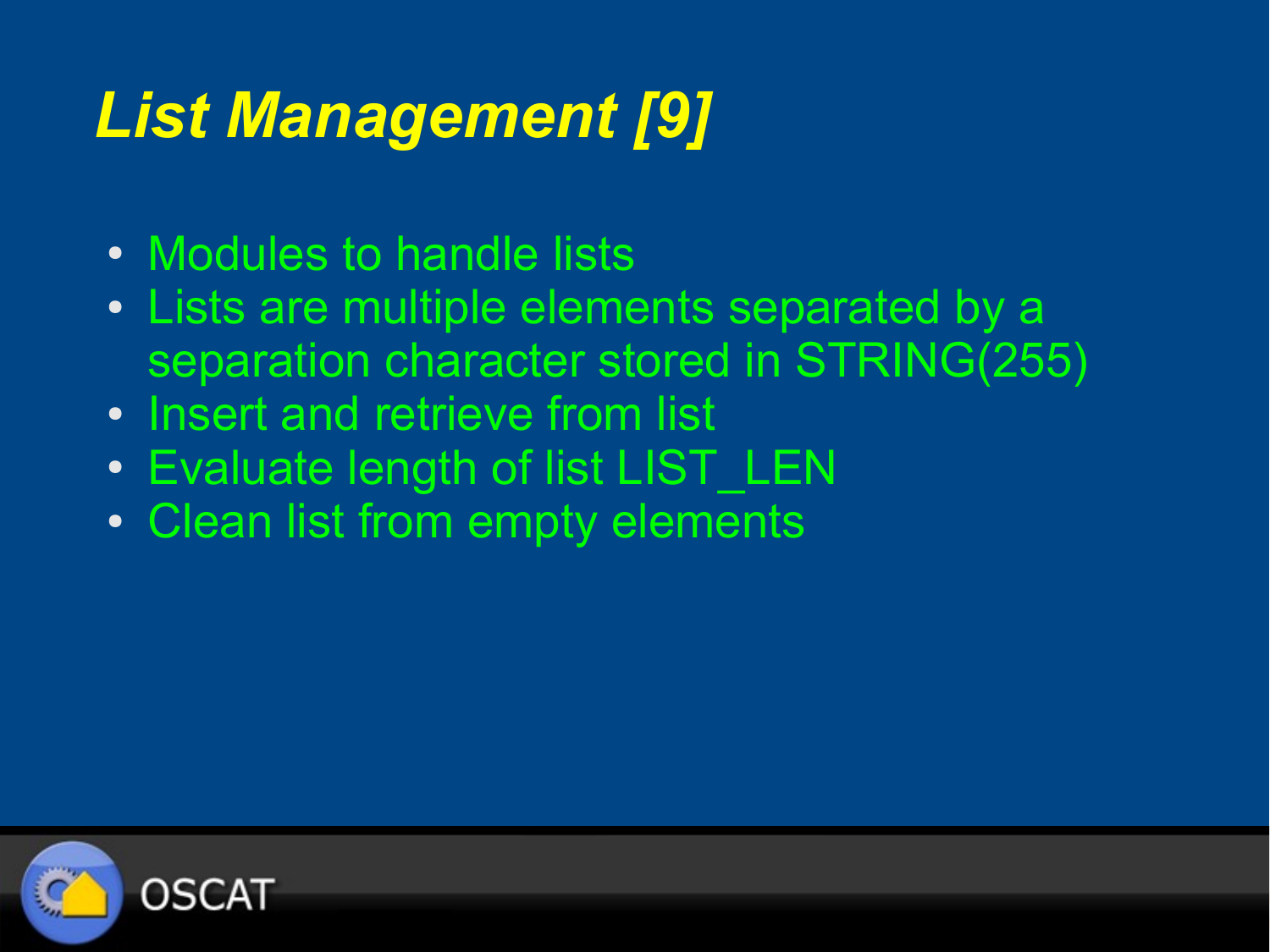# *List Management [9]*

- Modules to handle lists
- Lists are multiple elements separated by a separation character stored in STRING(255)
- Insert and retrieve from list
- Evaluate length of list LIST LEN
- Clean list from empty elements

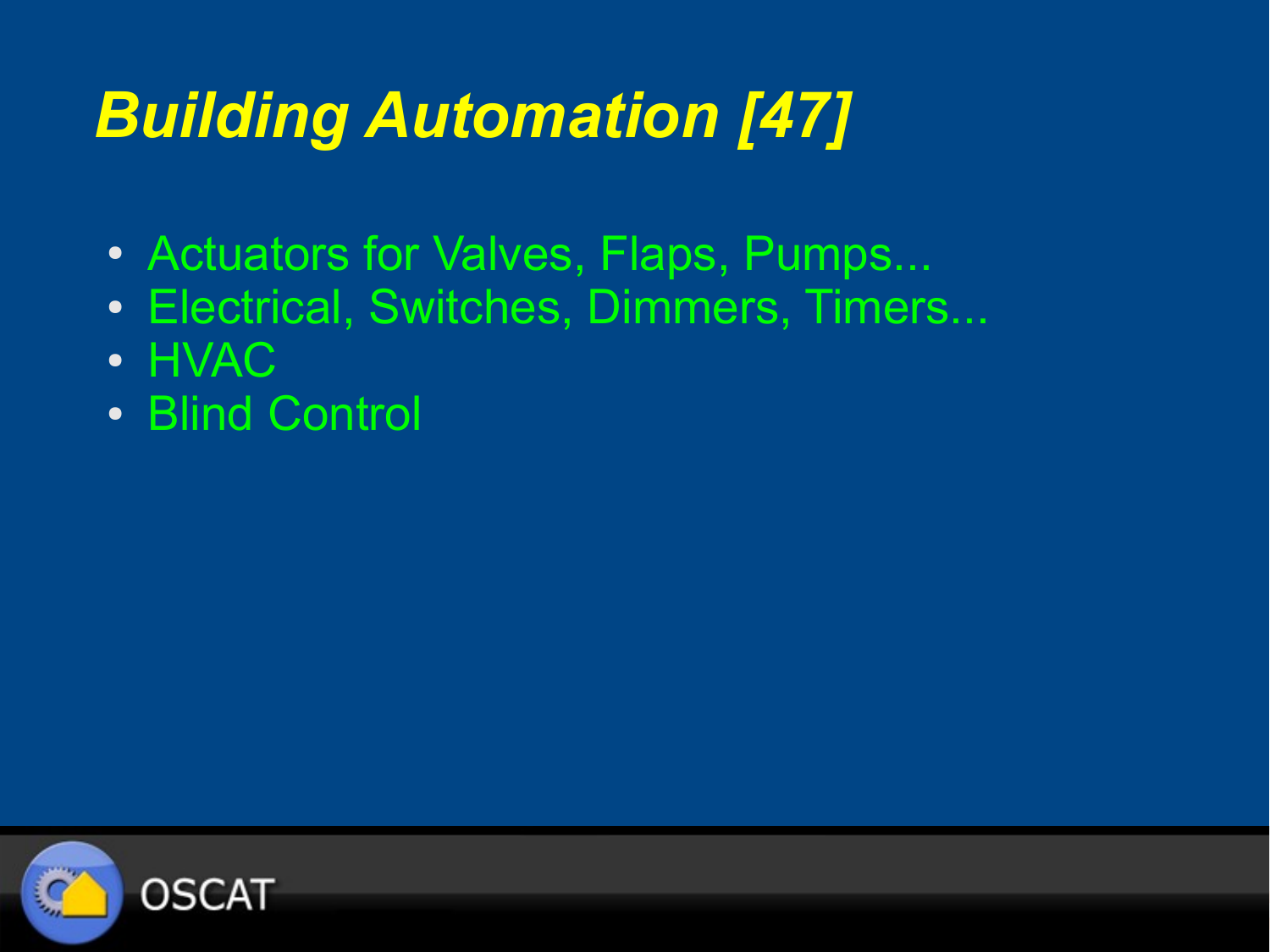# *Building Automation [47]*

- Actuators for Valves, Flaps, Pumps...
- Electrical, Switches, Dimmers, Timers...
- HVAC
- Blind Control

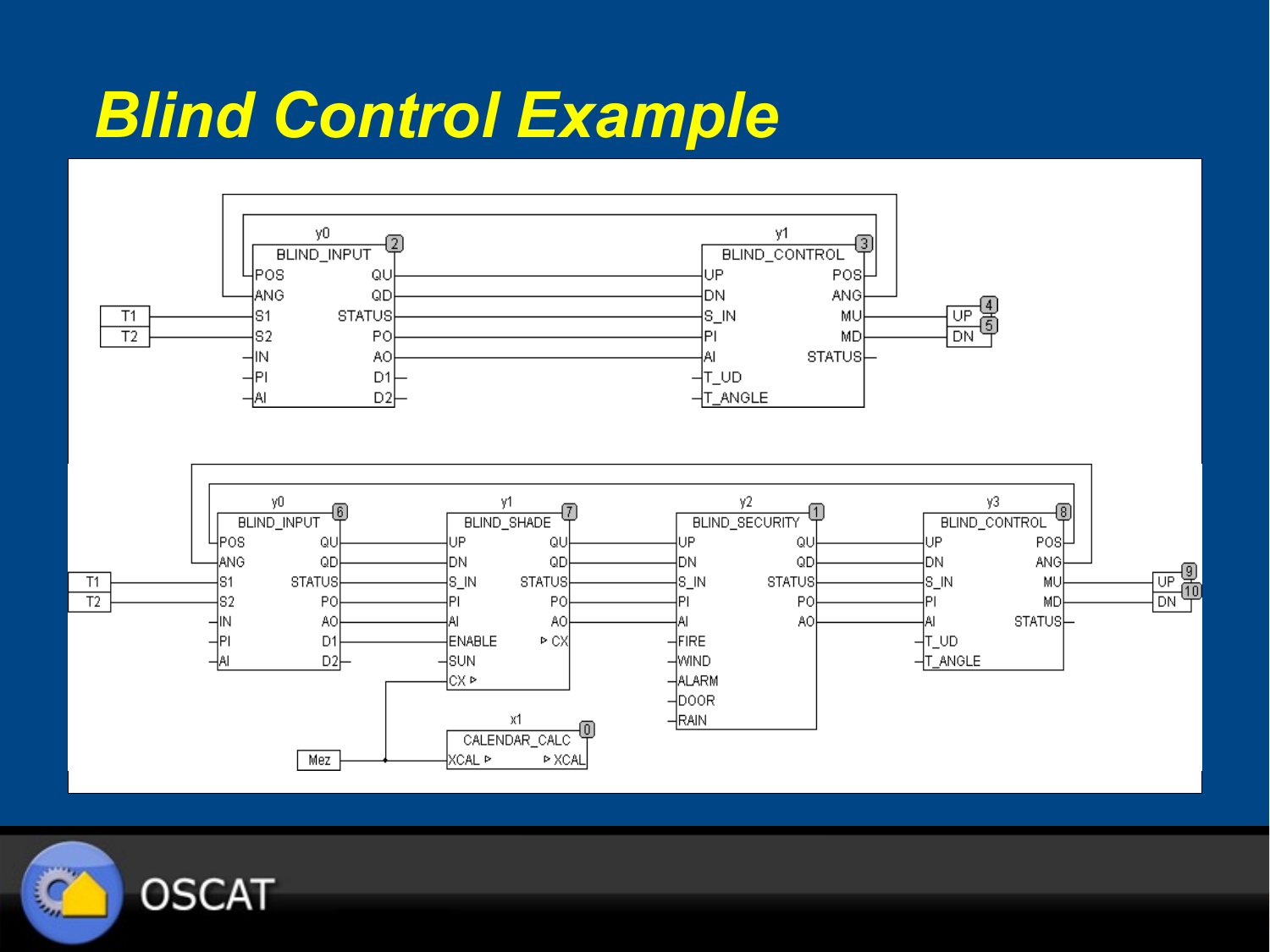#### *Blind Control Example*



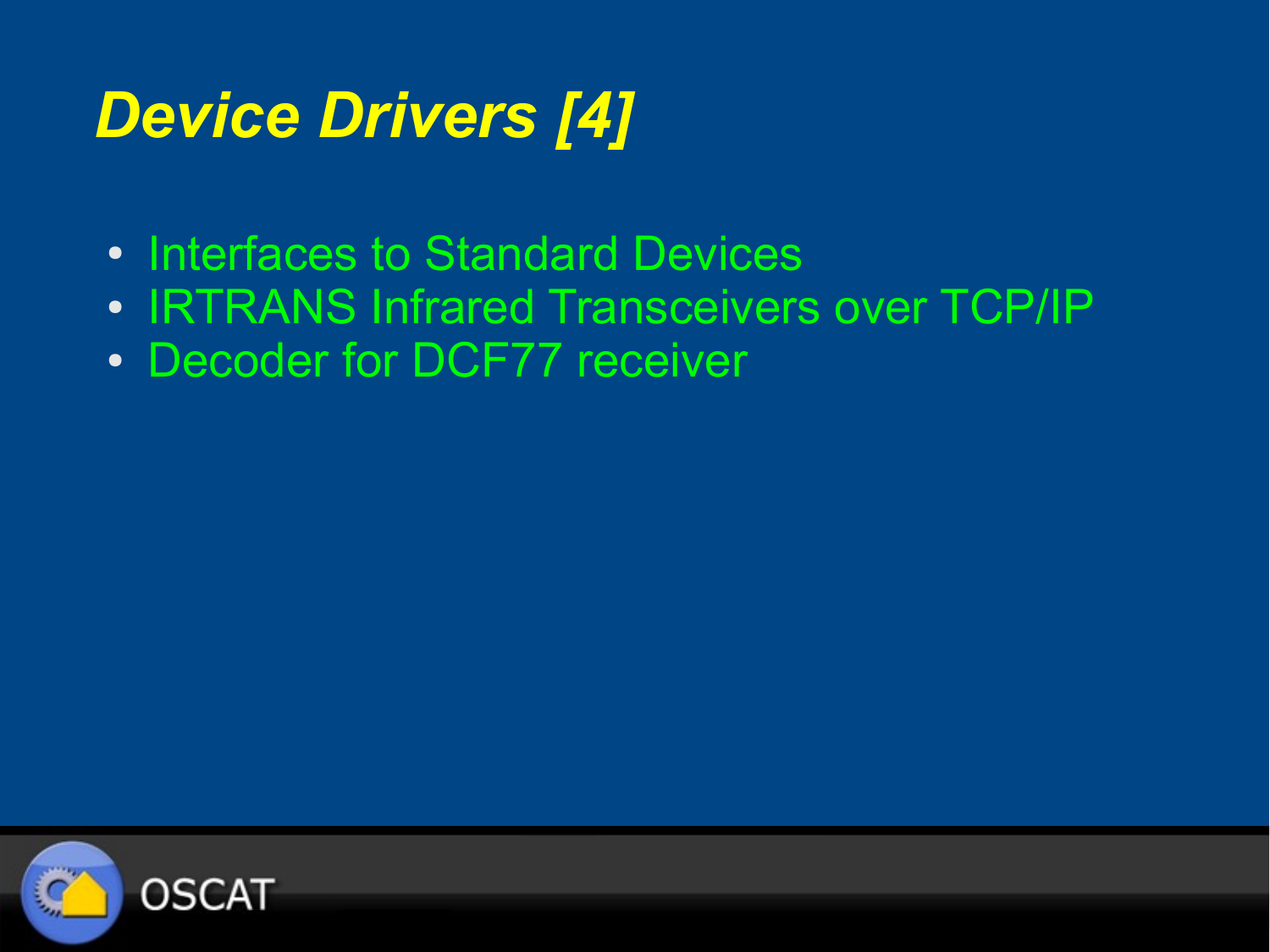# *Device Drivers [4]*

- Interfaces to Standard Devices
- IRTRANS Infrared Transceivers over TCP/IP
- Decoder for DCF77 receiver

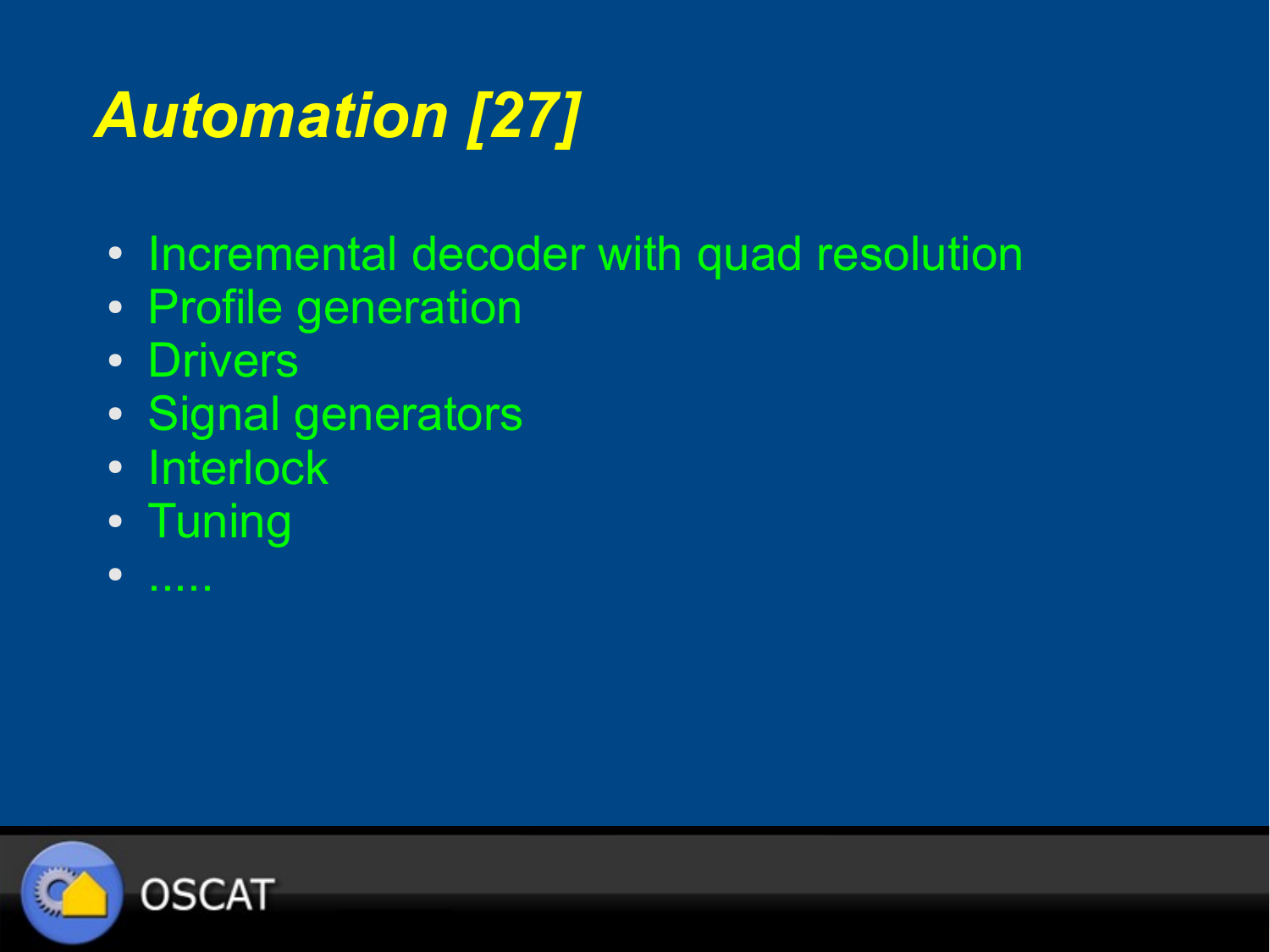# *Automation [27]*

- Incremental decoder with quad resolution
- Profile generation
- Drivers
- Signal generators
- Interlock
- Tuning
- .....

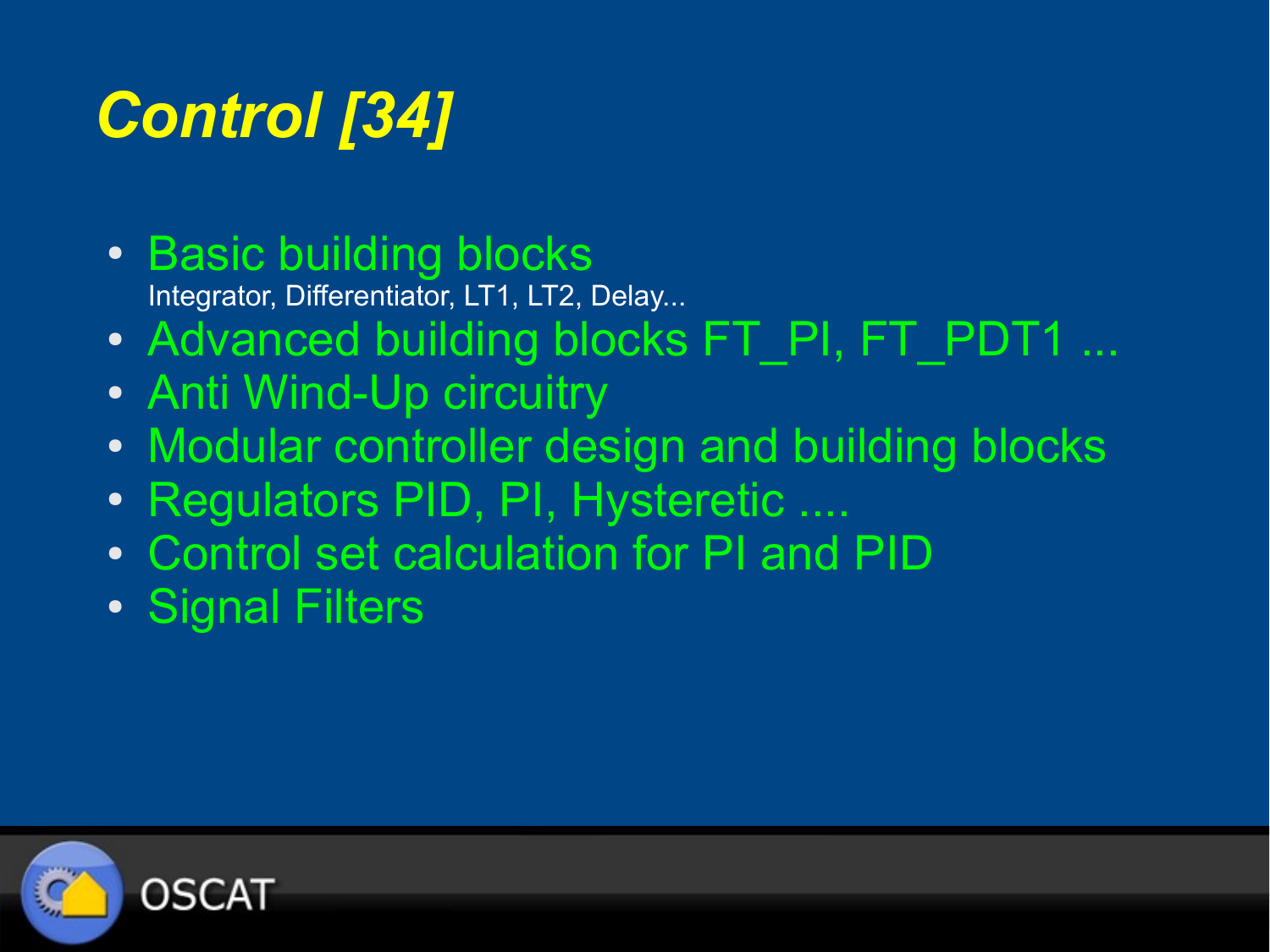# *Control [34]*

• Basic building blocks

Integrator, Differentiator, LT1, LT2, Delay...

- Advanced building blocks FT\_PI, FT\_PDT1 ...
- Anti Wind-Up circuitry
- Modular controller design and building blocks
- Regulators PID, PI, Hysteretic ....
- Control set calculation for PI and PID
- Signal Filters

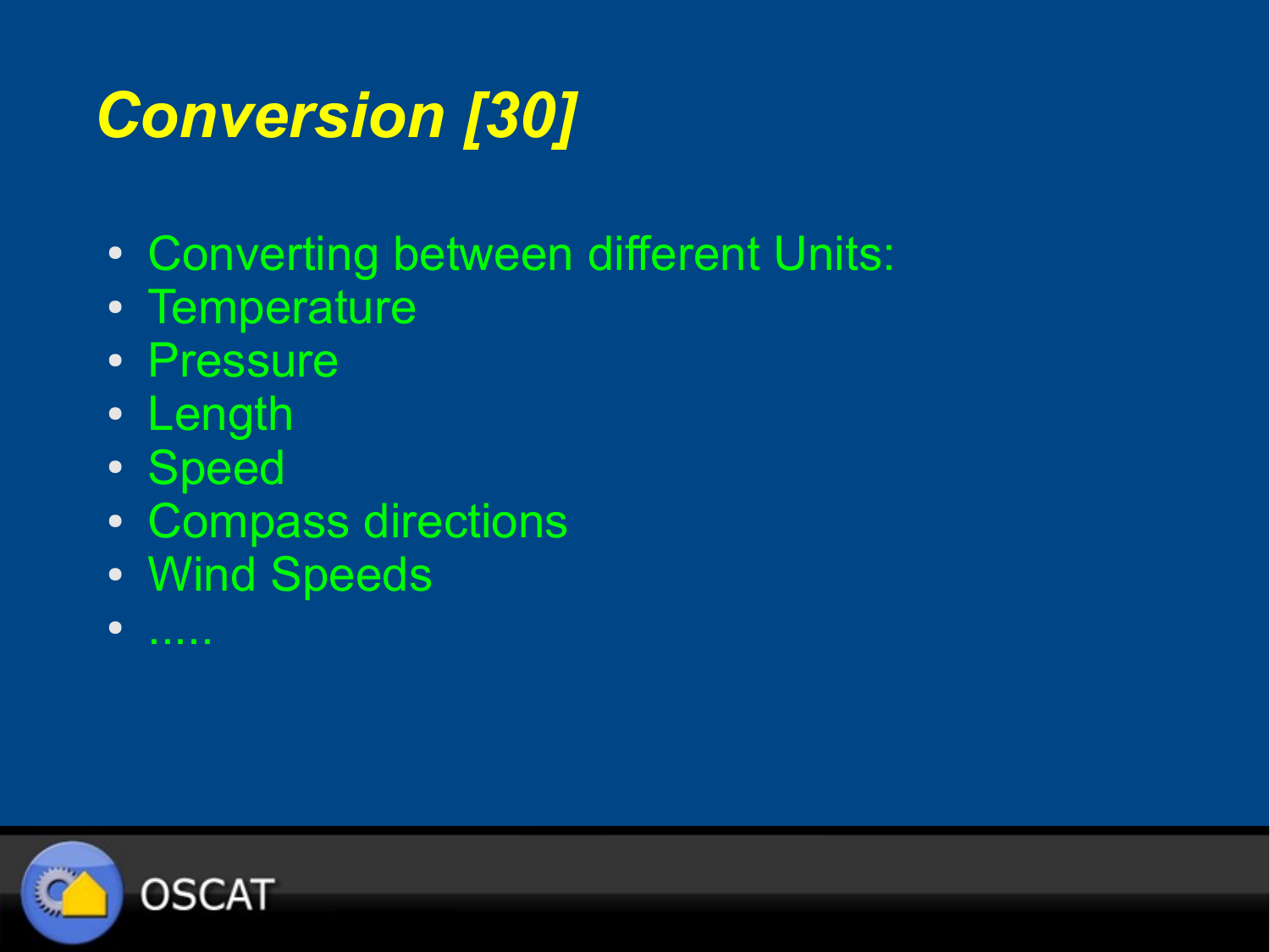# *Conversion [30]*

- Converting between different Units:
- Temperature
- Pressure
- Length
- Speed
- Compass directions
- Wind Speeds
- .....

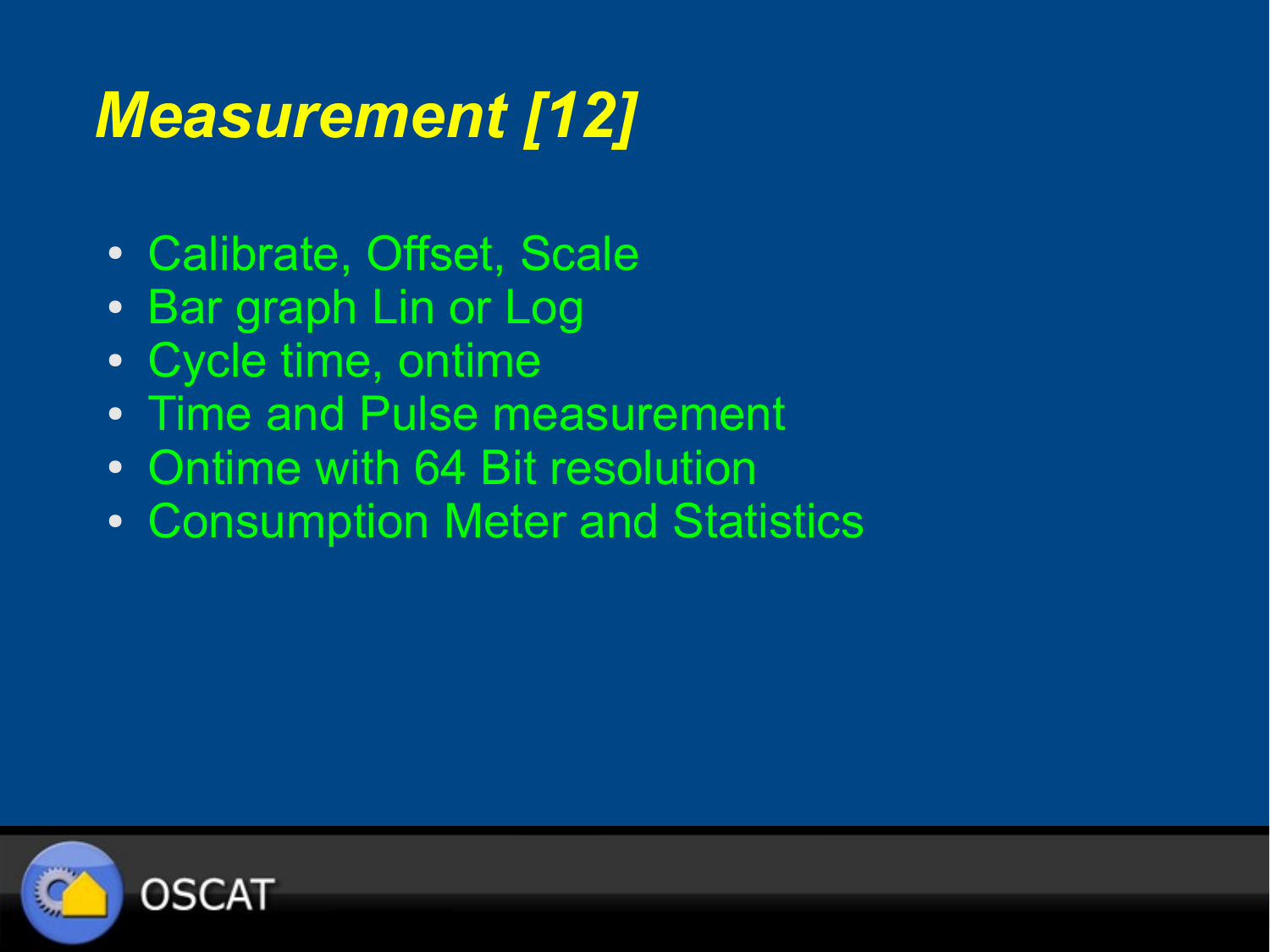# *Measurement [12]*

- Calibrate, Offset, Scale
- Bar graph Lin or Log
- Cycle time, ontime
- Time and Pulse measurement
- Ontime with 64 Bit resolution
- Consumption Meter and Statistics

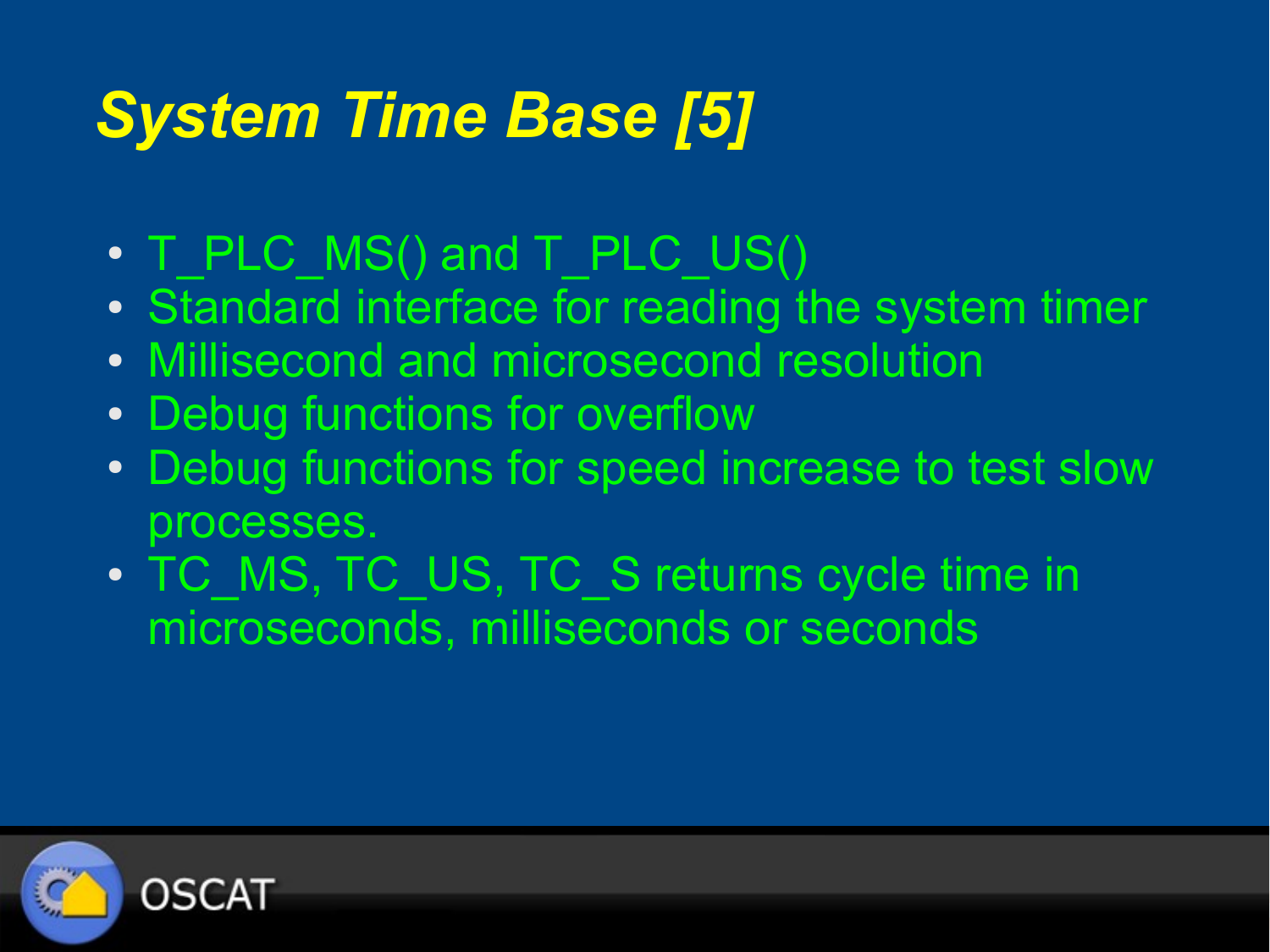## *System Time Base [5]*

- T\_PLC\_MS() and T\_PLC\_US()
- Standard interface for reading the system timer
- Millisecond and microsecond resolution
- Debug functions for overflow
- Debug functions for speed increase to test slow processes.
- TC\_MS, TC\_US, TC\_S returns cycle time in microseconds, milliseconds or seconds

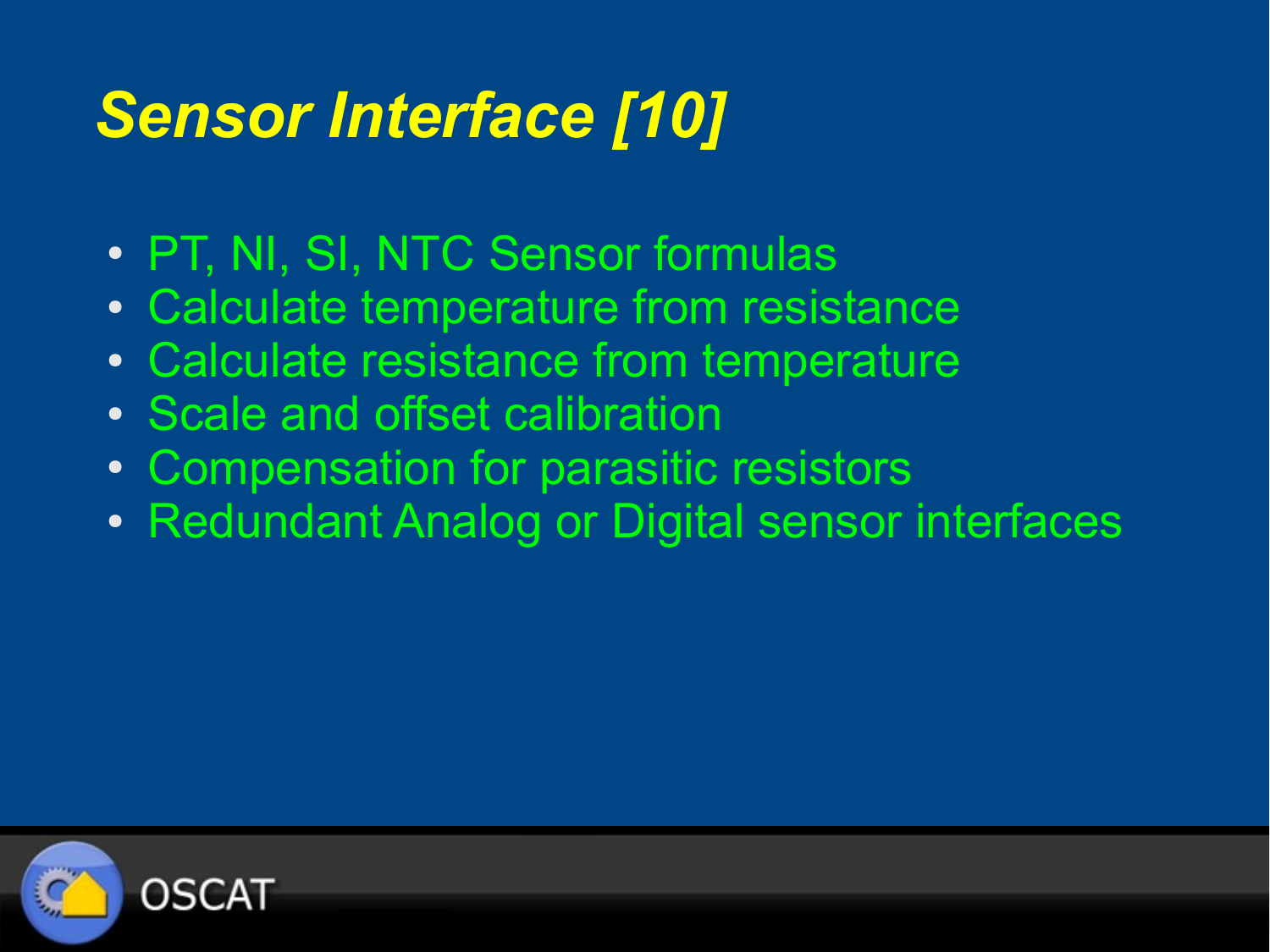## *Sensor Interface [10]*

- PT, NI, SI, NTC Sensor formulas
- Calculate temperature from resistance
- Calculate resistance from temperature
- Scale and offset calibration
- Compensation for parasitic resistors
- Redundant Analog or Digital sensor interfaces

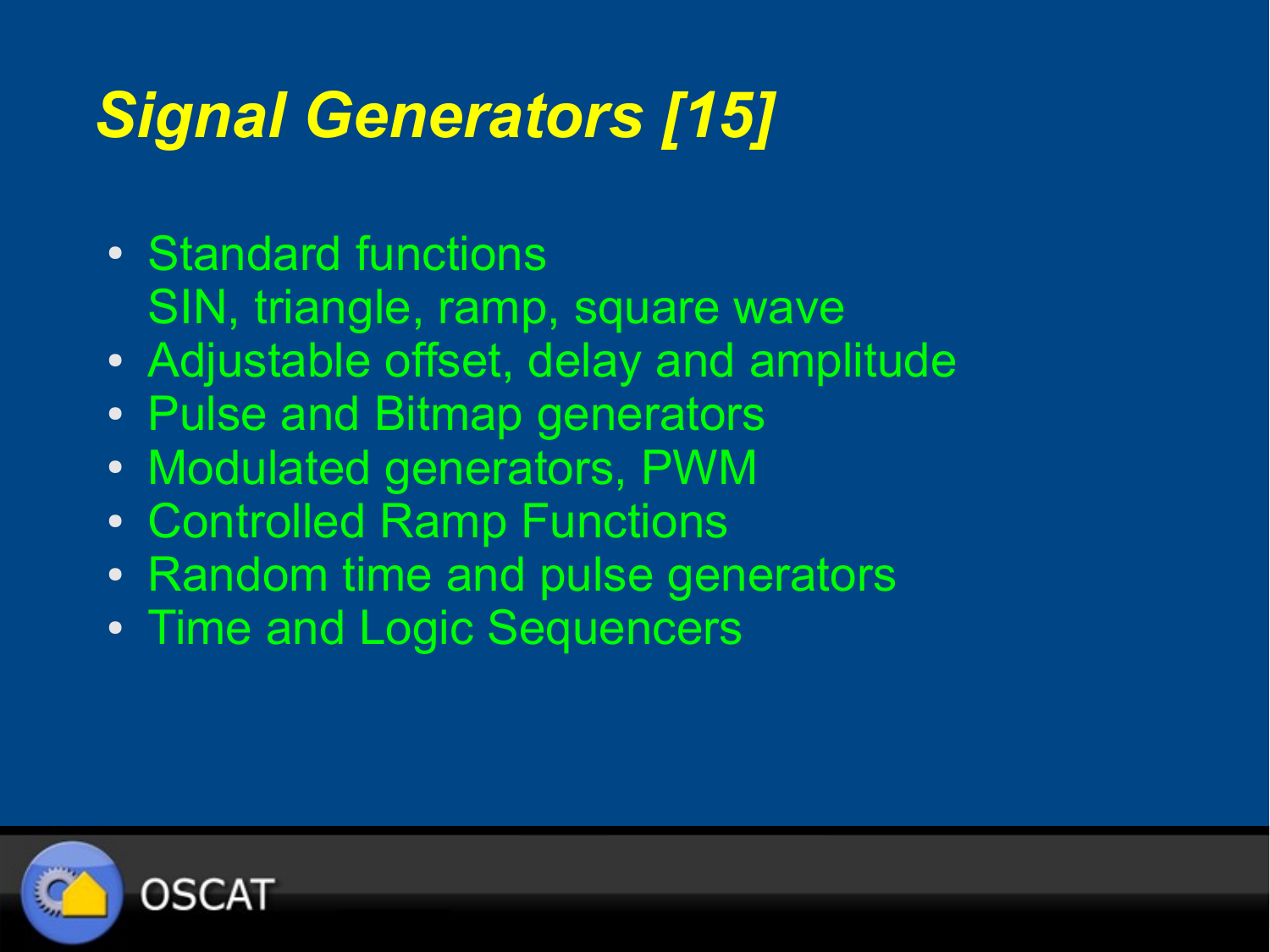# *Signal Generators [15]*

- Standard functions SIN, triangle, ramp, square wave
- Adjustable offset, delay and amplitude
- Pulse and Bitmap generators
- Modulated generators, PWM
- Controlled Ramp Functions
- Random time and pulse generators
- Time and Logic Sequencers

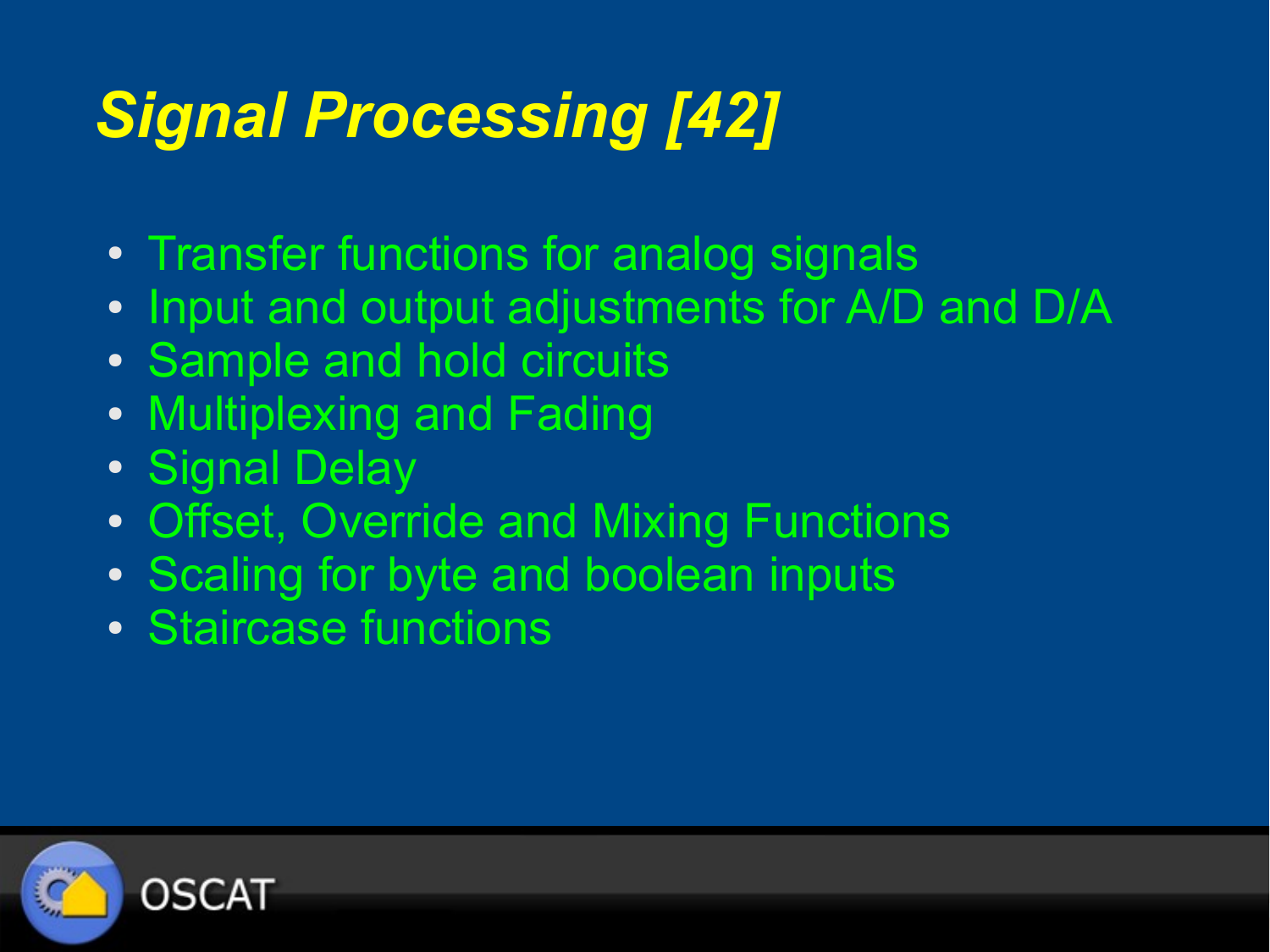# *Signal Processing [42]*

- Transfer functions for analog signals
- Input and output adjustments for A/D and D/A
- Sample and hold circuits
- Multiplexing and Fading
- Signal Delay
- Offset, Override and Mixing Functions
- Scaling for byte and boolean inputs
- Staircase functions

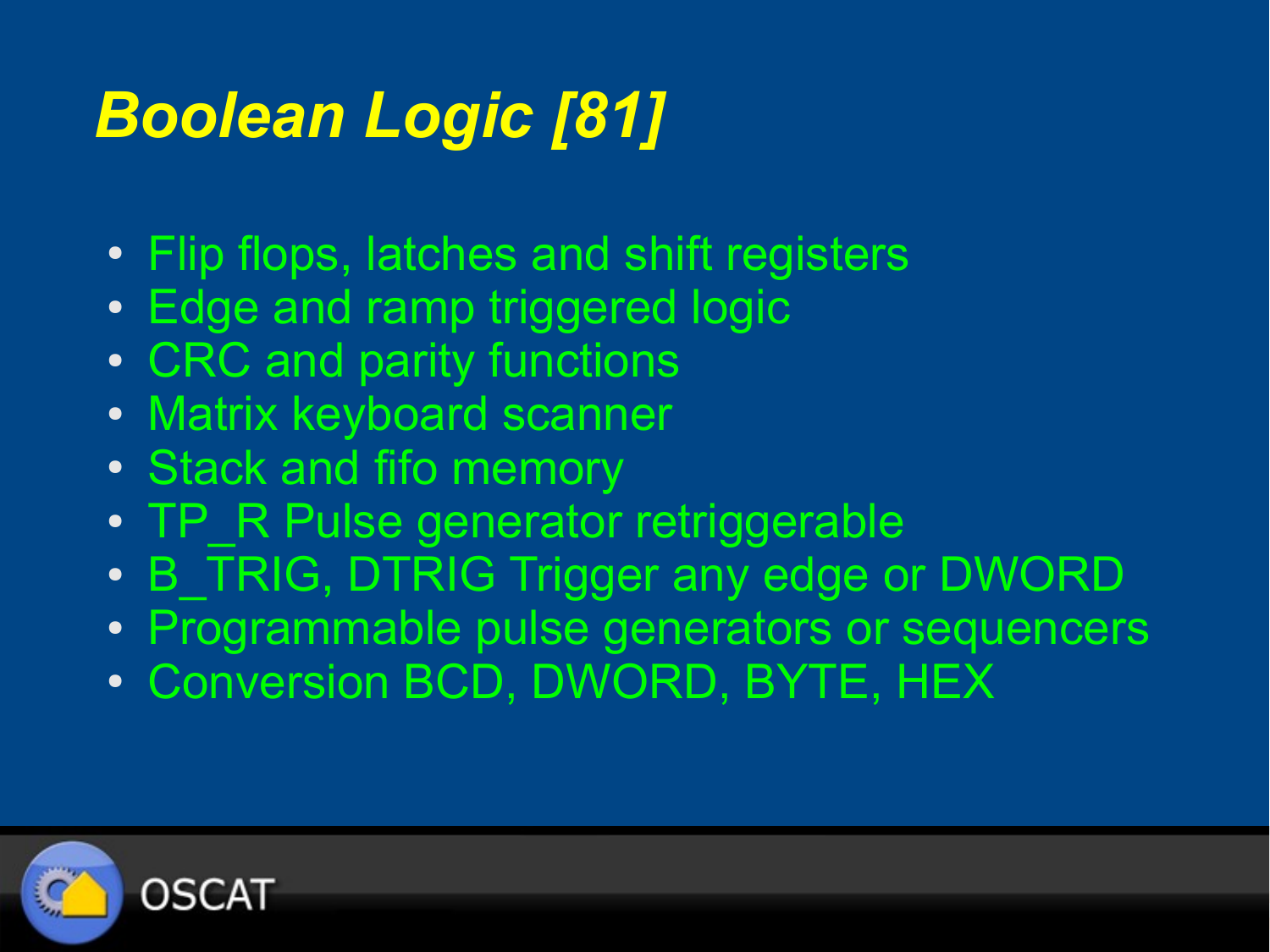# *Boolean Logic [81]*

- Flip flops, latches and shift registers
- Edge and ramp triggered logic
- CRC and parity functions
- Matrix keyboard scanner
- Stack and fifo memory
- TP\_R Pulse generator retriggerable
- B TRIG, DTRIG Trigger any edge or DWORD
- Programmable pulse generators or sequencers
- Conversion BCD, DWORD, BYTE, HEX

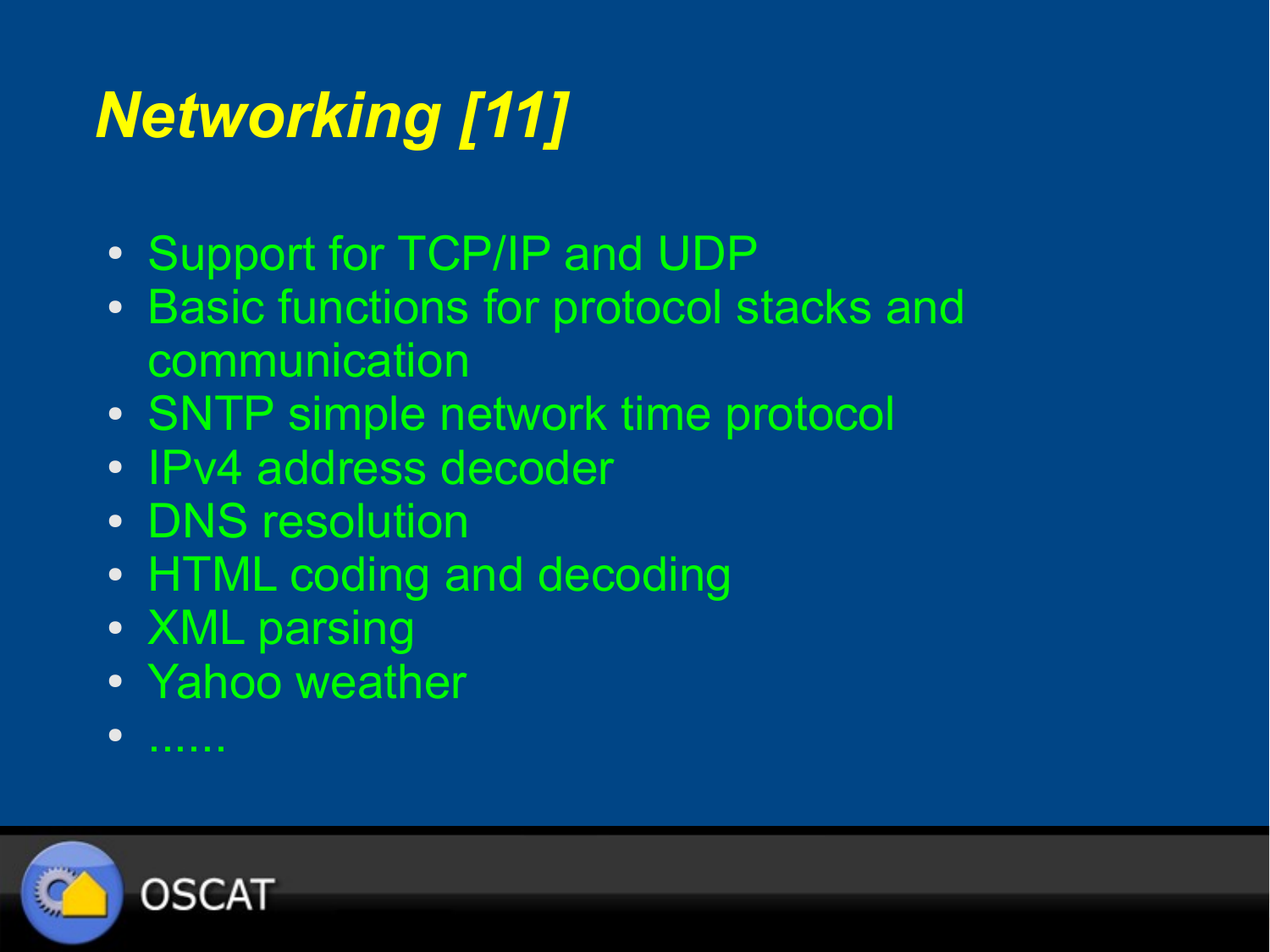# *Networking [11]*

- Support for TCP/IP and UDP
- Basic functions for protocol stacks and communication
- SNTP simple network time protocol
- IPv4 address decoder
- DNS resolution
- HTML coding and decoding
- XML parsing
- Yahoo weather
- ......

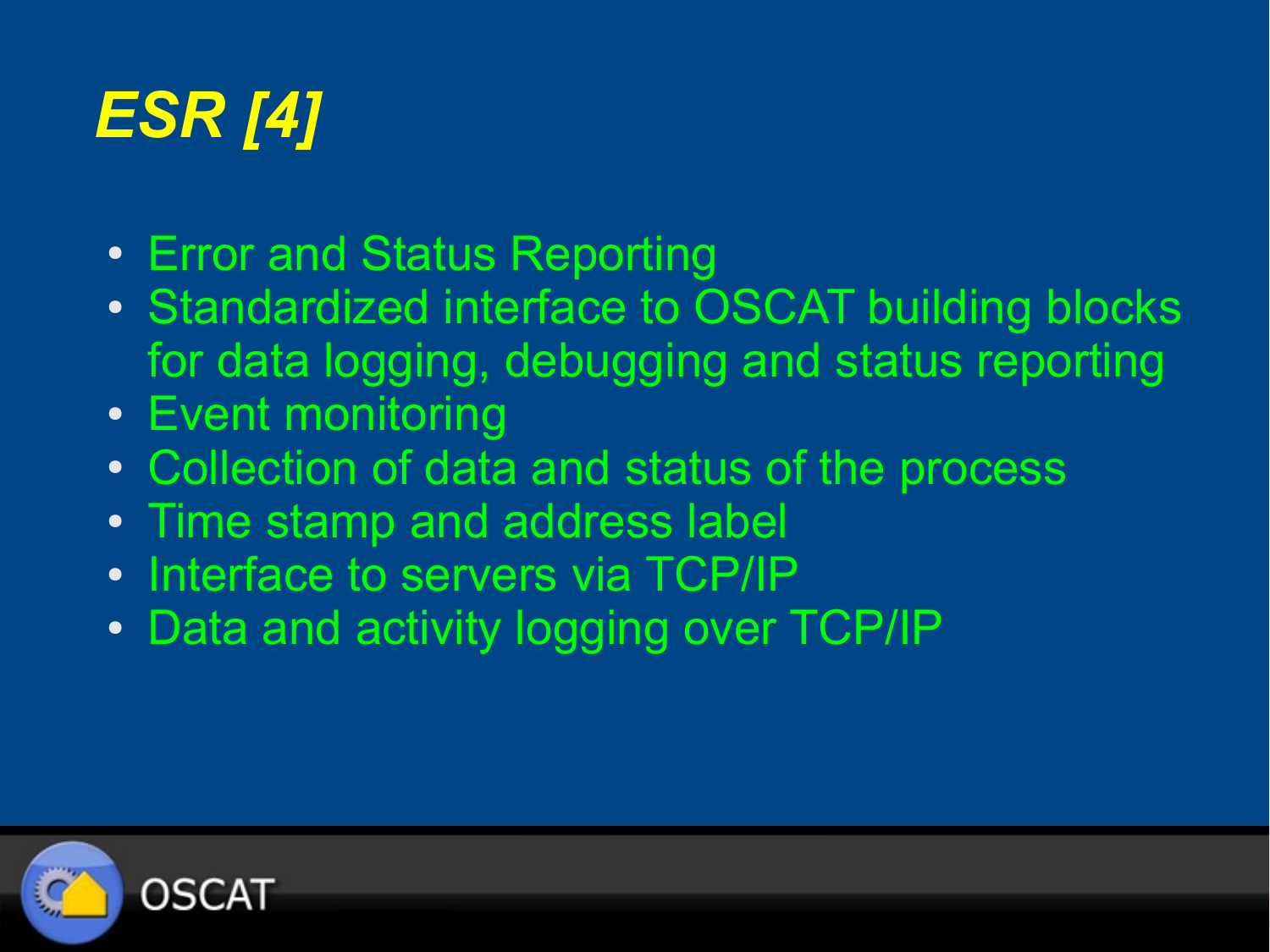# *ESR [4]*

- Error and Status Reporting
- Standardized interface to OSCAT building blocks for data logging, debugging and status reporting
- Event monitoring
- Collection of data and status of the process
- Time stamp and address label
- Interface to servers via TCP/IP
- Data and activity logging over TCP/IP

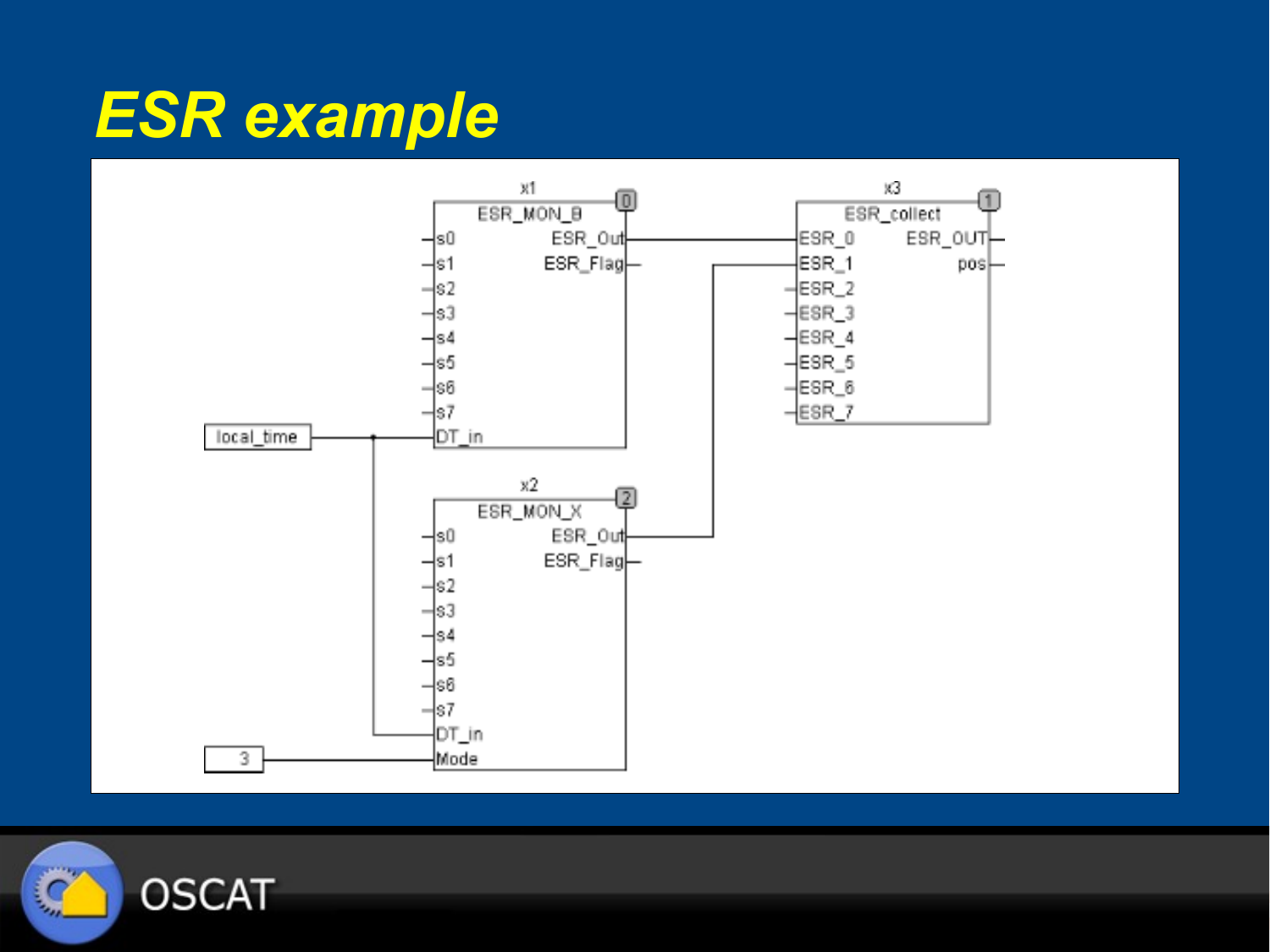#### *ESR example*



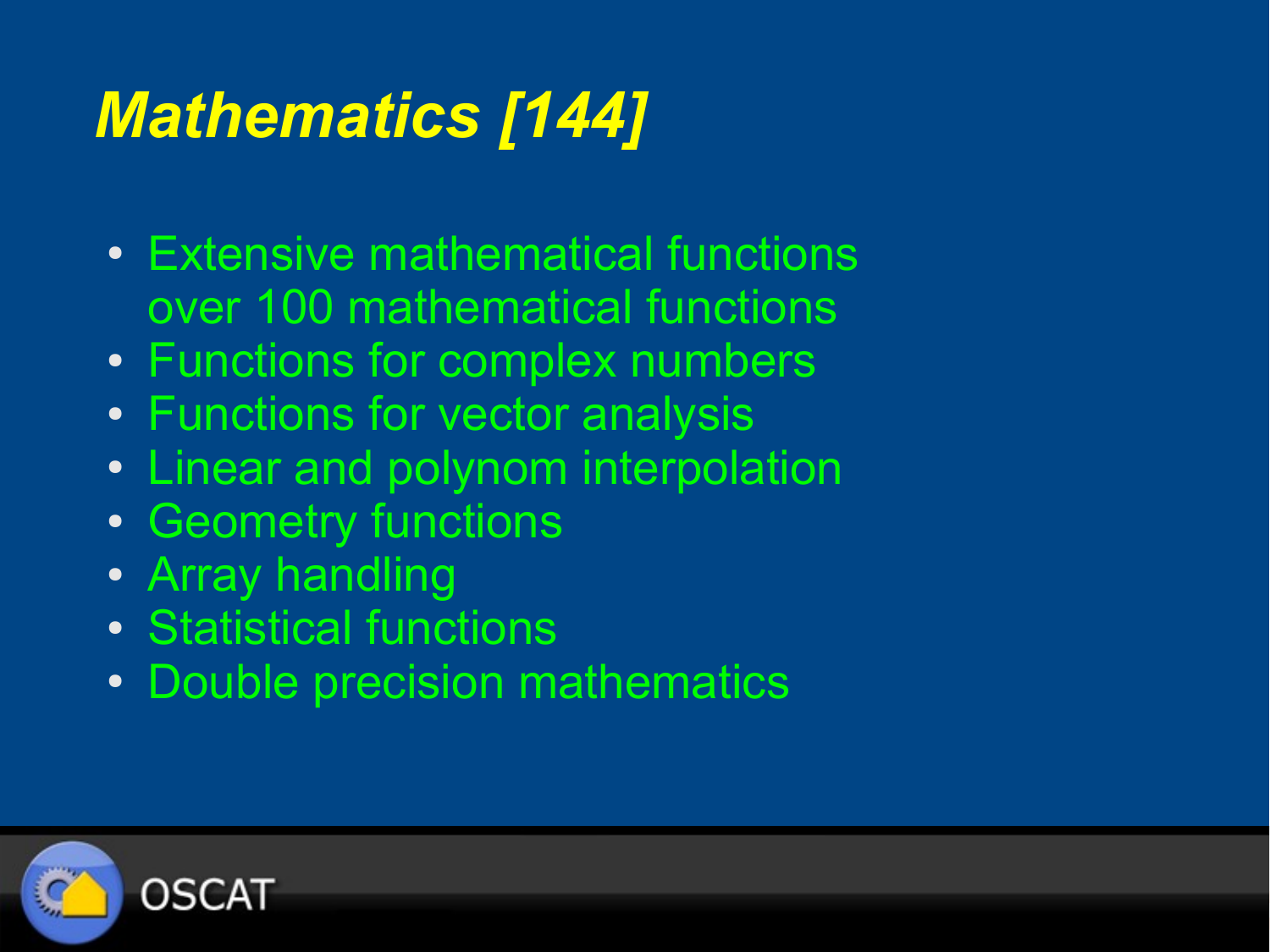# *Mathematics [144]*

- Extensive mathematical functions over 100 mathematical functions
- Functions for complex numbers
- Functions for vector analysis
- Linear and polynom interpolation
- Geometry functions
- Array handling
- Statistical functions
- Double precision mathematics

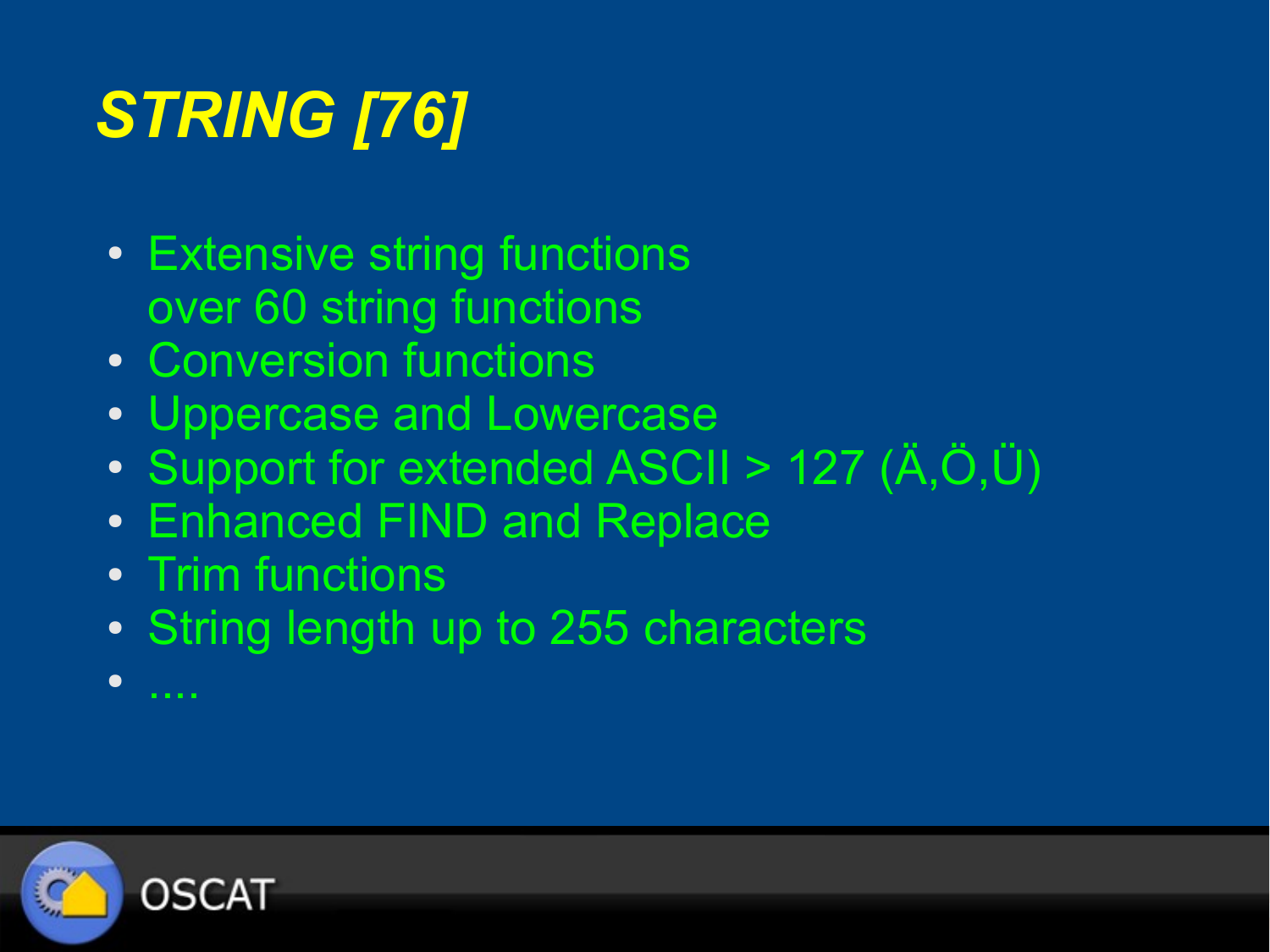# *STRING [76]*

- Extensive string functions over 60 string functions
- Conversion functions
- Uppercase and Lowercase
- Support for extended ASCII > 127  $(\ddot{A}, \ddot{O}, \ddot{U})$
- Enhanced FIND and Replace
- Trim functions
- String length up to 255 characters

OSCAT

● ....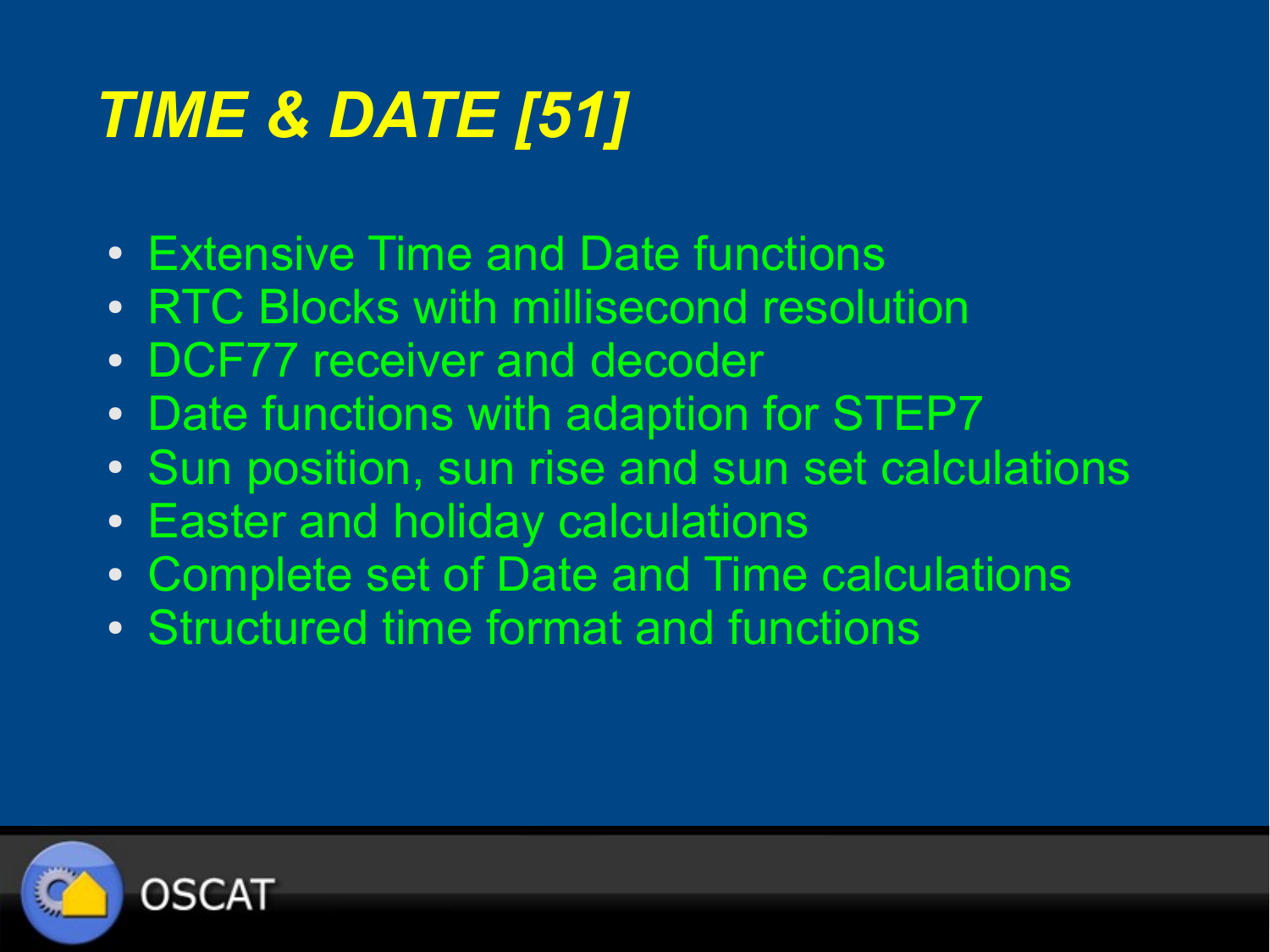# *TIME & DATE [51]*

- Extensive Time and Date functions
- RTC Blocks with millisecond resolution
- DCF77 receiver and decoder
- Date functions with adaption for STEP7
- Sun position, sun rise and sun set calculations
- Easter and holiday calculations
- Complete set of Date and Time calculations
- Structured time format and functions

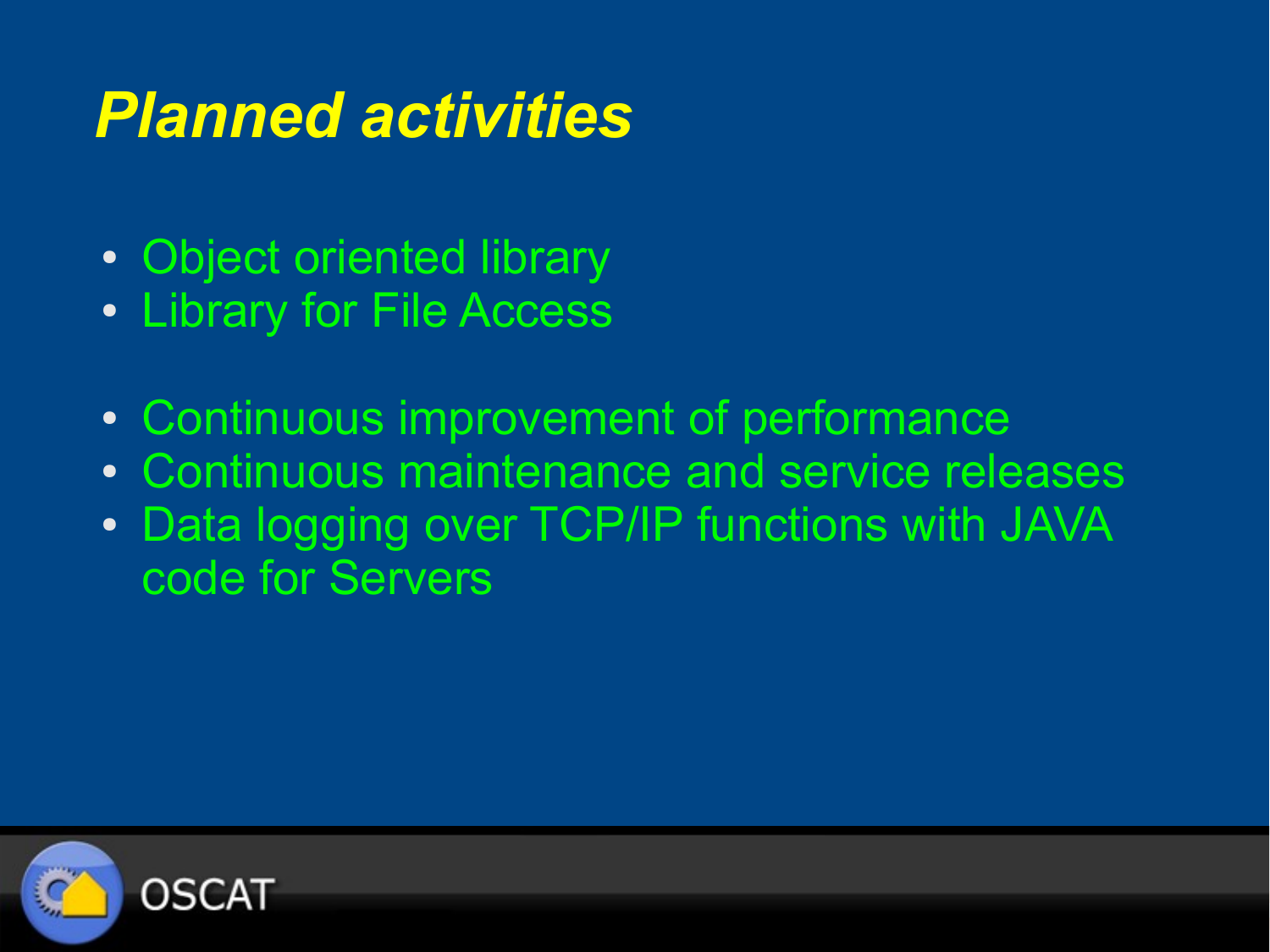#### *Planned activities*

- Object oriented library
- Library for File Access
- Continuous improvement of performance
- Continuous maintenance and service releases
- Data logging over TCP/IP functions with JAVA code for Servers

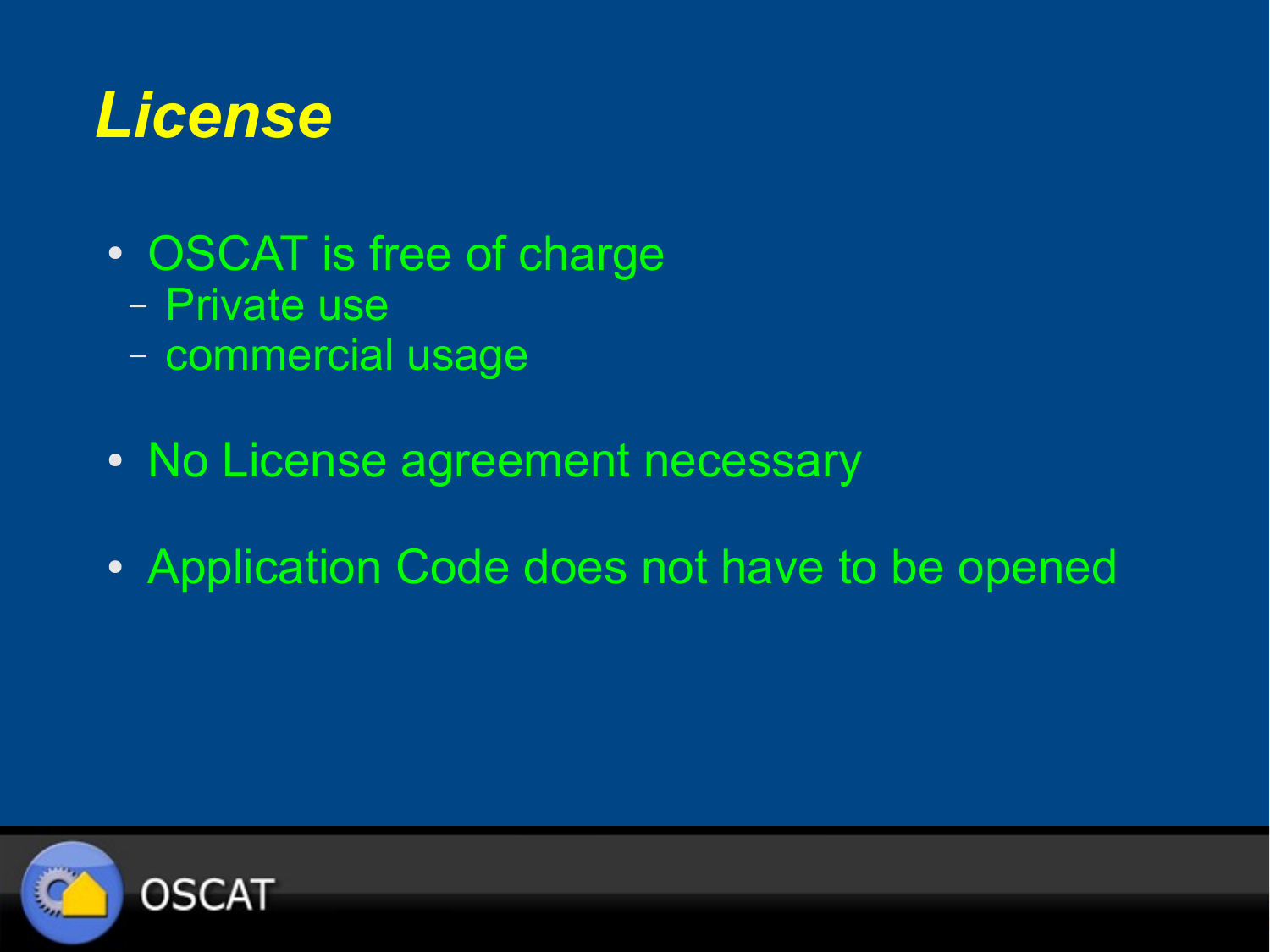#### *License*

- OSCAT is free of charge
	- Private use
	- commercial usage
- No License agreement necessary
- Application Code does not have to be opened

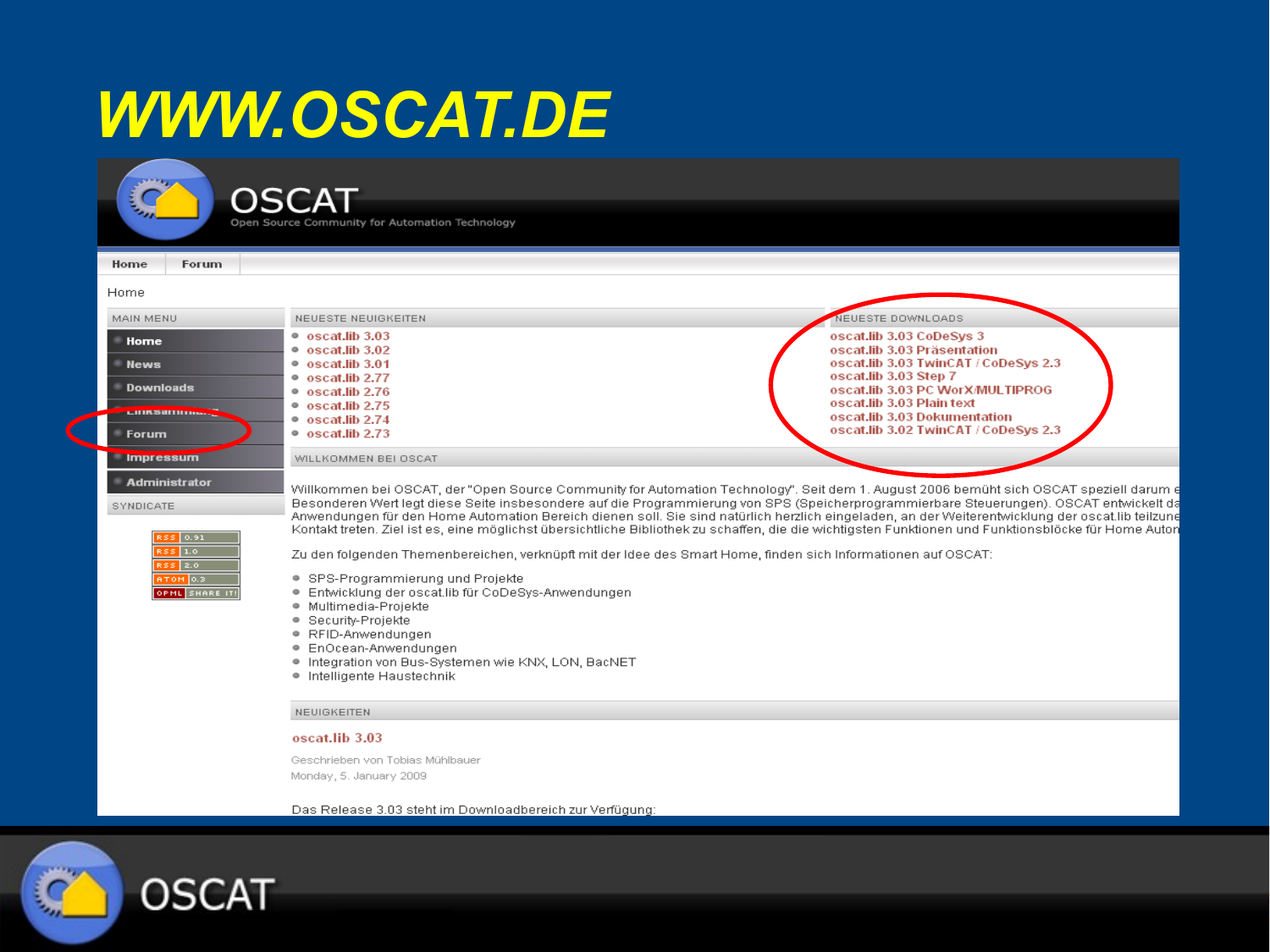#### *WWW.OSCAT.DE*

**College** i Q

**OSCAT** 

Open Source Community for Automation Technology

| Home<br>Forum.                                                                                      |                                                                                                                                                                                                                                                                                                                                                                                                                                                                                                                                                                                                                                                                                                                                                                                                                                                                                                                                                                                                  |                                                                                                                                                              |
|-----------------------------------------------------------------------------------------------------|--------------------------------------------------------------------------------------------------------------------------------------------------------------------------------------------------------------------------------------------------------------------------------------------------------------------------------------------------------------------------------------------------------------------------------------------------------------------------------------------------------------------------------------------------------------------------------------------------------------------------------------------------------------------------------------------------------------------------------------------------------------------------------------------------------------------------------------------------------------------------------------------------------------------------------------------------------------------------------------------------|--------------------------------------------------------------------------------------------------------------------------------------------------------------|
| Home                                                                                                |                                                                                                                                                                                                                                                                                                                                                                                                                                                                                                                                                                                                                                                                                                                                                                                                                                                                                                                                                                                                  |                                                                                                                                                              |
| MAIN MENU                                                                                           | NEUESTE NEUIGKEITEN                                                                                                                                                                                                                                                                                                                                                                                                                                                                                                                                                                                                                                                                                                                                                                                                                                                                                                                                                                              | NEUESTE DOWNLOADS                                                                                                                                            |
| Home<br><b>News</b><br><b>Downloads</b>                                                             | $\bullet$ oscat.lib 3.03<br>$\bullet$ oscat.lib 3.02<br>$\bullet$ oscat.lib 3.01<br>$\bullet$ oscat.lib 2.77<br>$\bullet$ oscat.lib 2.76                                                                                                                                                                                                                                                                                                                                                                                                                                                                                                                                                                                                                                                                                                                                                                                                                                                         | oscat.lib 3.03 CoDeSys 3<br>oscat.lib 3.03 Präsentation<br>oscat.lib 3.03 TwinCAT / CoDeSvs 2.3<br>oscat.lib 3.03 Step 7<br>oscat.lib 3.03 PC WorX/MULTIPROG |
| <b>CITIRSUITIITII</b><br>Forum                                                                      | $\bullet$ oscat.lib 2.75<br>$\bullet$ oscat.lib 2.74<br>$\bullet$ oscat.lib 2.73                                                                                                                                                                                                                                                                                                                                                                                                                                                                                                                                                                                                                                                                                                                                                                                                                                                                                                                 | oscat.lib 3.03 Plain text<br>oscat.lib 3.03 Dokumentation<br>oscat.lib 3.02 TwinCAT / CoDeSys 2.3                                                            |
| <b>Impressum</b>                                                                                    | WILLKOMMEN BEI OSCAT                                                                                                                                                                                                                                                                                                                                                                                                                                                                                                                                                                                                                                                                                                                                                                                                                                                                                                                                                                             |                                                                                                                                                              |
| <b>Administrator</b><br>SYNDICATE<br>RSS 0.91<br>$RSS$ 1.0<br>RSS 2.0<br>ATOM 0.3<br>OPML SHARE IT! | Willkommen bei OSCAT, der "Open Source Community for Automation Technology". Seit dem 1. August 2006 bemüht sich OSCAT speziell darum e<br>Besonderen Wertlegt diese Seite insbesondere auf die Programmierung von SPS (Speicherprogrammierbare Steuerungen). OSCAT entwickelt da<br>Anwendungen für den Home Automation Bereich dienen soll. Sie sind natürlich herzlich eingeladen, an der Weiterentwicklung der oscat.lib teilzune<br>Kontakt treten. Ziel ist es, eine möglichst übersichtliche Bibliothek zu schaffen, die die wichtigsten Funktionen und Funktionsblöcke für Home Auton<br>Zu den folgenden Themenbereichen, verknüpft mit der Idee des Smart Home, finden sich Informationen auf OSCAT:<br>• SPS-Programmierung und Projekte<br>· Entwicklung der oscatlib für CoDeSys-Anwendungen<br>· Multimedia-Projekte<br>Security-Projekte<br>۰<br>● RFID-Anwendungen<br>● EnOcean-Anwendungen<br>. Integration von Bus-Systemen wie KNX, LON, BacNET<br>· Intelligente Haustechnik |                                                                                                                                                              |
|                                                                                                     | <b>NEUIGKEITEN</b>                                                                                                                                                                                                                                                                                                                                                                                                                                                                                                                                                                                                                                                                                                                                                                                                                                                                                                                                                                               |                                                                                                                                                              |
|                                                                                                     | oscat.lib 3.03                                                                                                                                                                                                                                                                                                                                                                                                                                                                                                                                                                                                                                                                                                                                                                                                                                                                                                                                                                                   |                                                                                                                                                              |

Geschrieben von Tobias Mühlbauer Monday, 5. January 2009

Das Release 3.03 steht im Downloadbereich zur Verfügung:

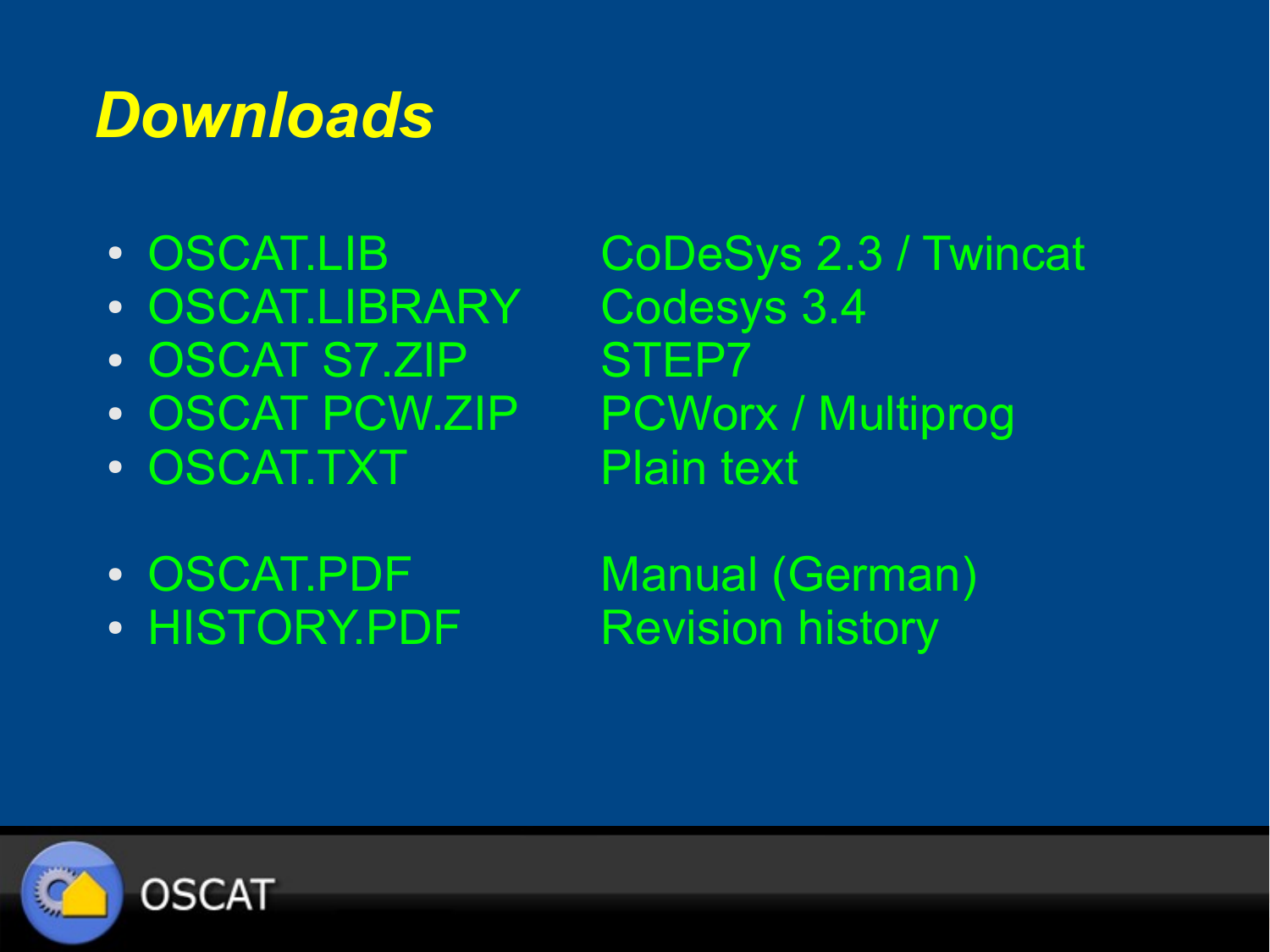#### *Downloads*

- 
- OSCAT.LIBRARY Codesys 3.4
- OSCAT S7.ZIP STEP7
- 
- OSCAT.TXT Plain text

• OSCAT.LIB CoDeSys 2.3 / Twincat • OSCAT PCW.ZIP PCWorx / Multiprog

- 
- HISTORY.PDF Revision history

• OSCAT.PDF Manual (German)

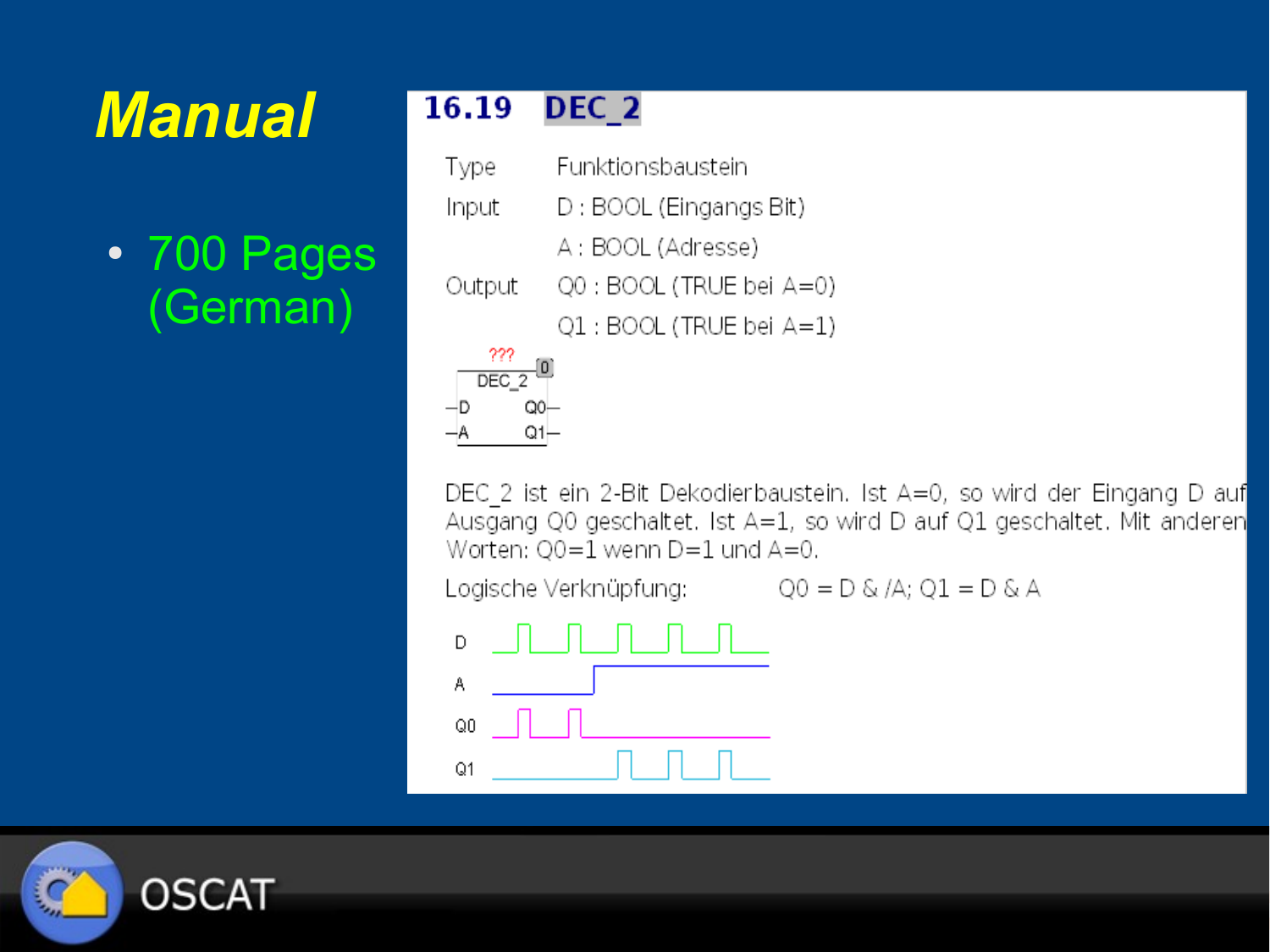## *Manual*

● 700 Pages (German)

#### 16.19 DEC<sub>2</sub>

 $Q1 -$ 

Funktionsbaustein Type Input D: BOOL (Eingangs Bit) A: BOOL (Adresse) Q0 : BOOL (TRUE bei A=0) Output Q1 : BOOL (TRUE bei A=1) 222 DEC<sub>2</sub>  $Q0-$ -D

DEC 2 ist ein 2-Bit Dekodierbaustein. Ist A=0, so wird der Eingang D auf Ausgang Q0 geschaltet. Ist A=1, so wird D auf Q1 geschaltet. Mit anderen Worten: Q0=1 wenn D=1 und A=0.

Logische Verknüpfung:  $Q0 = D \& A$ ;  $Q1 = D \& A$ 

D А  $Q<sub>0</sub>$  $Q<sub>1</sub>$ 

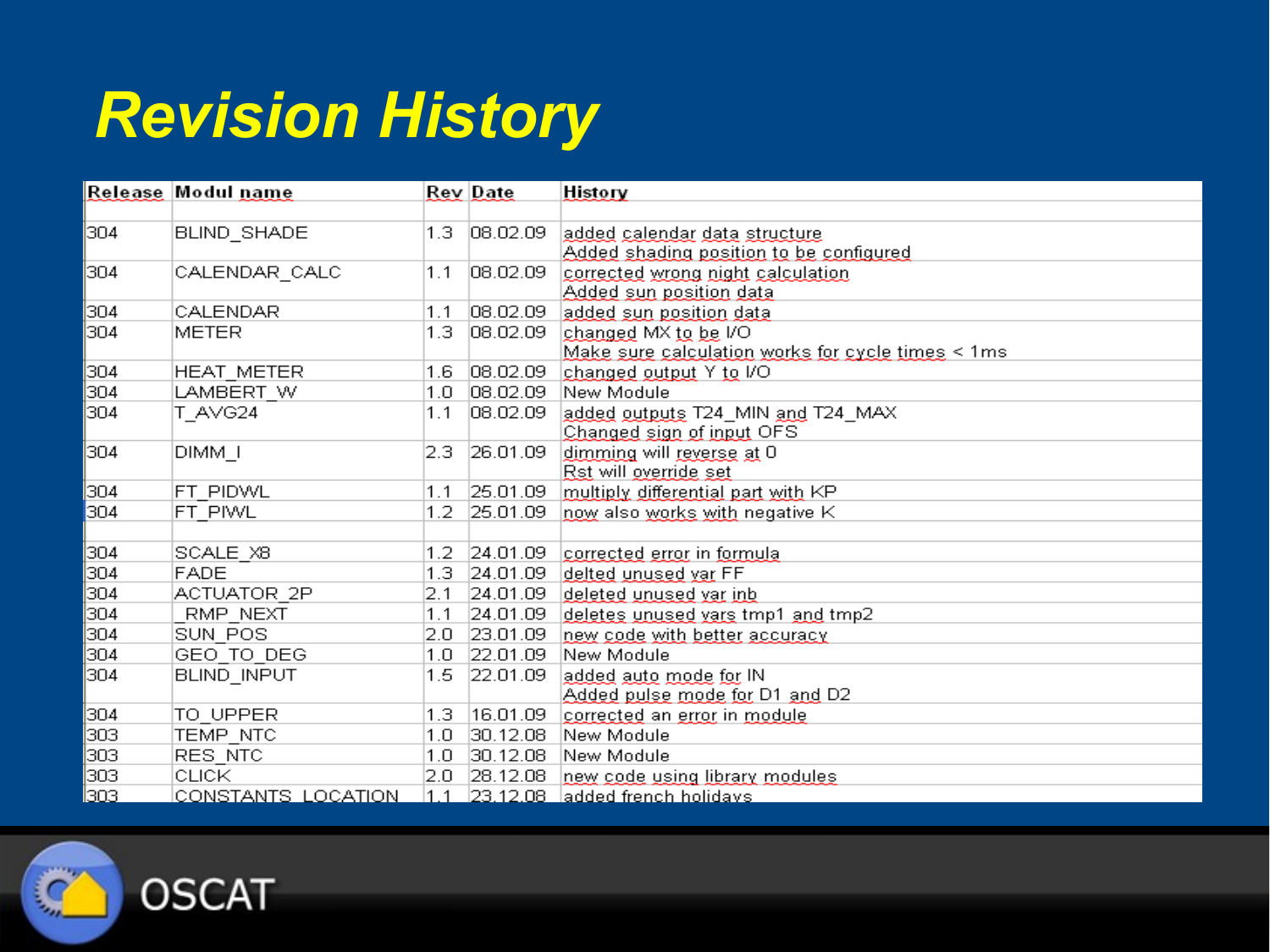#### *Revision History*

|               | Release Modul name |     | <b>Rev Date</b> | <b>History</b>                                    |
|---------------|--------------------|-----|-----------------|---------------------------------------------------|
|               |                    |     |                 |                                                   |
| 304           | BLIND_SHADE        | 1.3 | 08.02.09        | added calendar data structure                     |
|               |                    |     |                 | Added shading position to be configured           |
| 304           | CALENDAR_CALC      | 1.1 | 08.02.09        | corrected wrong night calculation                 |
|               |                    |     |                 | Added sun position data                           |
| 304           | CALENDAR           | 1.1 | 08.02.09        | added sun position data                           |
| 304           | <b>METER</b>       | 1.3 | 08.02.09        | changed MX to be I/O                              |
|               |                    |     |                 | Make sure calculation works for cycle times < 1ms |
| 304           | HEAT METER         | 1.6 | 08.02.09        | changed output Y to I/O                           |
| 304           | LAMBERT W          | 1.0 | 08.02.09        | New Module                                        |
| 304           | T AVG24            | 1.1 | 08.02.09        | added outputs T24_MIN and T24_MAX                 |
|               |                    |     |                 | Changed sign of input OFS                         |
| 304           | DIMM T             | 2.3 | 26.01.09        | dimming will reverse at 0                         |
|               |                    |     |                 | Rst will override set                             |
| 304           | FT PIDWL           | 1.1 | 25.01.09        | multiply differential part with KP                |
| 304           | FT PIWL            | 1.2 | 25.01.09        | now also works with negative K                    |
|               |                    |     |                 |                                                   |
| 304           | SCALE X8           | 1.2 | 24.01.09        | corrected error in formula                        |
| 304           | <b>FADE</b>        | 1.3 | 24.01.09        | delted unused var FF                              |
| 304           | ACTUATOR 2P        | 2.1 | 24.01.09        | deleted unused var inb                            |
| 304           | RMP NEXT           | 1.1 | 24.01.09        | deletes unused vars tmp1 and tmp2                 |
| 304           | SUN POS            | 2.0 | 23.01.09        | new code with better accuracy                     |
| 304           | GEO TO DEG         | 1.0 | 22.01.09        | New Module                                        |
| 304           | <b>BLIND INPUT</b> | 1.5 | 22.01.09        | added auto mode for IN                            |
|               |                    |     |                 | Added pulse mode for D1 and D2                    |
| 304           | TO UPPER           | 1.3 | 16.01.09        | corrected an error in module                      |
| 303           | TEMP NTC           | 1.0 | 30.12.08        | New Module                                        |
| 303           | RES NTC            | 1.0 | 30.12.08        | New Module                                        |
| 303           | CLICK              | 2.0 | [28.12.08]      | new code using library modules.                   |
| <u> 1303.</u> | CONSTANTS LOCATION |     |                 | <u> 1.1   23.12.08   added french holidavs </u>   |

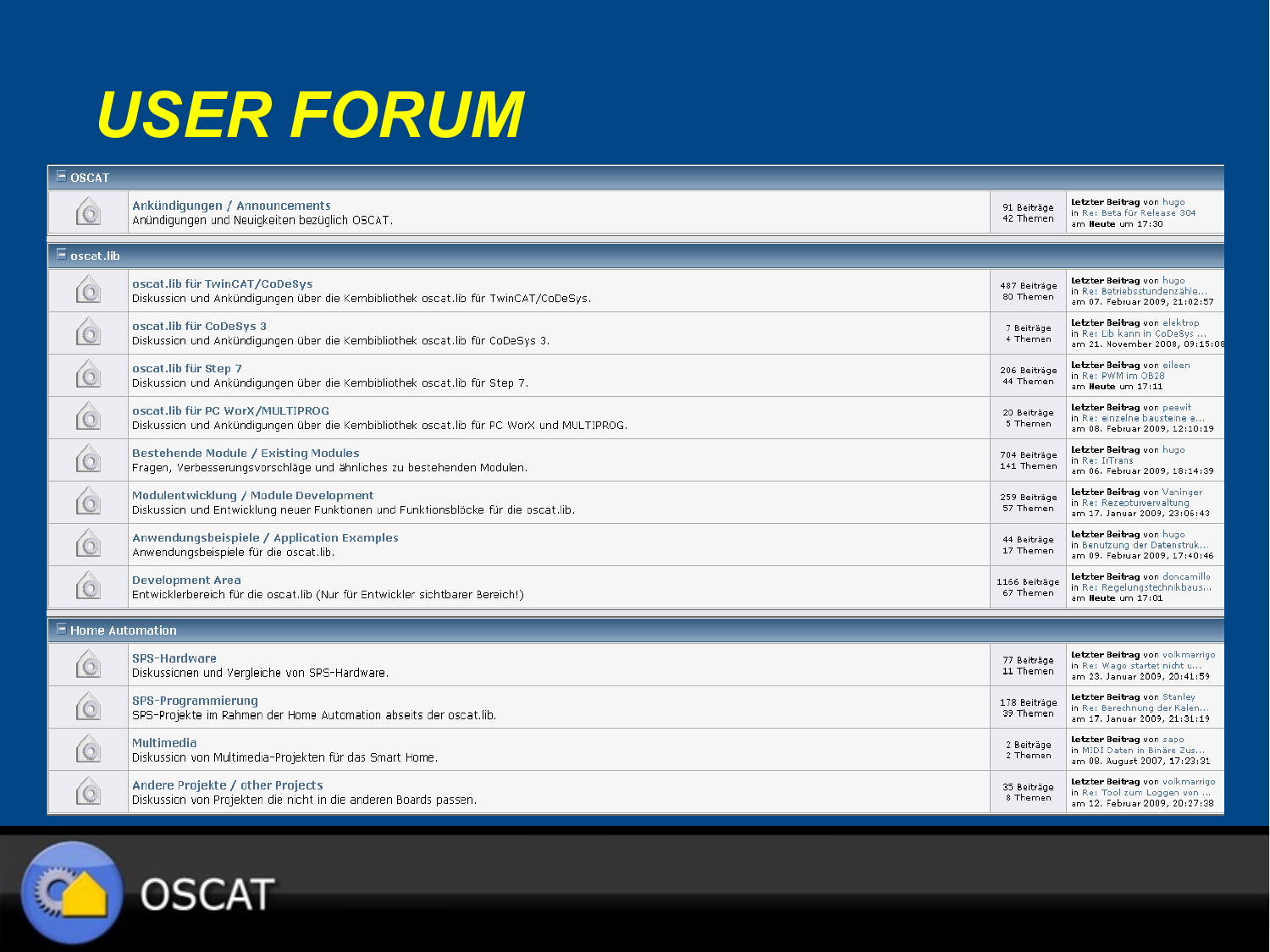#### *USER FORUM*

| $E$ OSCAT                      |                                                                                                                              |                            |                                                                                                |  |
|--------------------------------|------------------------------------------------------------------------------------------------------------------------------|----------------------------|------------------------------------------------------------------------------------------------|--|
| $\circ$                        | Ankündigungen / Announcements<br>Anündigungen und Neuigkeiten bezüglich OSCAT.                                               | 91 Beiträge<br>42 Themen   | Letzter Beitrag von hugo<br>in Re: Beta für Release 304<br>am Heute um 17:30                   |  |
| $\blacksquare$ oscat.lib       |                                                                                                                              |                            |                                                                                                |  |
| $\circ$                        | oscat.lib für TwinCAT/CoDeSys<br>Diskussion und Ankündigungen über die Kernbibliothek oscatllib für TwinCAT/CoDeSys.         | 487 Beiträge<br>80 Themen  | Letzter Beitrag von hugo<br>in Re: Betriebsstundenzähle<br>am 07. Februar 2009, 21:02:57       |  |
|                                | oscat.lib für CoDeSys 3<br>Diskussion und Ankündigungen über die Kernbibliothek oscatlib für CoDeSys 3.                      | 7 Beiträge<br>4 Themen     | Letzter Beitrag von elektrop<br>in Re: Lib kann in CoDeSys<br>am 21. November 2008, 09:15:08   |  |
|                                | oscat.lib für Step 7<br>Diskussion und Ankündigungen über die Kernbibliothek oscatlib für Step 7.                            | 206 Beiträge<br>44 Themen  | Letzter Beitrag von eileen<br>in Re: PWM im OB28<br>am Heute um 17:11                          |  |
|                                | oscat.lib für PC WorX/MULTIPROG<br>Diskussion und Ankündigungen über die Kernbibliothek oscat.lib für PC WorX und MULTIPROG. | 20 Beiträge<br>5 Themen    | Letzter Beitrag von peewit<br>in Re: einzelne bausteine e<br>am 08. Februar 2009, 12:10:19     |  |
| $\circ$                        | <b>Bestehende Module / Existing Modules</b><br>Fragen, Verbesserungsvorschläge und ähnliches zu bestehenden Modulen.         | 704 Beiträge<br>141 Themen | Letzter Beitrag von hugo<br>in Re: IrTrans<br>am 06. Februar 2009, 18:14:39                    |  |
| $\odot$                        | Modulentwicklung / Module Development<br>Diskussion und Entwicklung neuer Funktionen und Funktionsblöcke für die oscat.lib.  | 259 Beiträge<br>57 Themen  | Letzter Beitrag von Vaninger<br>in Re: Rezepturverwaltung<br>am 17. Januar 2009, 23:06:43      |  |
| $\odot$                        | Anwendungsbeispiele / Application Examples<br>Anwendungsbeispiele für die oscat.lib.                                         | 44 Beiträge<br>17 Themen   | Letzter Beitrag von hugo<br>in Benutzung der Datenstruk<br>am 09. Februar 2009, 17:40:46       |  |
| $\circ$                        | <b>Development Area</b><br>Entwicklerbereich für die oscat.lib (Nur für Entwickler sichtbarer Bereich!)                      | 1166 Beiträge<br>67 Themen | Letzter Beitrag von doncamillo<br>in Re: Regelungstechnikbaus<br>am Heute um 17:01             |  |
| $\blacksquare$ Home Automation |                                                                                                                              |                            |                                                                                                |  |
| $\circ$                        | <b>SPS-Hardware</b><br>Diskussionen und Vergleiche von SPS-Hardware.                                                         | 77 Beiträge<br>11 Themen   | Letzter Beitrag von volkmarrigo<br>in Re: Wago startet nicht u<br>am 23. Januar 2009, 20:41:59 |  |
| $\circ$                        | <b>SPS-Programmierung</b><br>SPS-Projekte im Rahmen der Home Automation abseits der oscat.lib.                               | 178 Beiträge<br>39 Themen  | Letzter Beitrag von Stanley<br>in Re: Berechnung der Kalen<br>am 17. Januar 2009, 21:31:19     |  |
|                                | <b>Multimedia</b><br>Diskussion von Multimedia-Projekten für das Smart Home.                                                 | 2 Beiträge<br>2 Themen     | Letzter Beitrag von sapo<br>in MIDI Daten in Binäre Zus<br>am 08. August 2007, 17:23:31        |  |
| $\circ$                        | Andere Projekte / other Projects<br>Diskussion von Projekten die nicht in die anderen Boards passen.                         | 35 Beiträge<br>8 Themen    | Letzter Beitrag von volkmarrigo<br>in Re: Tool zum Loggen von<br>am 12. Februar 2009, 20:27:38 |  |



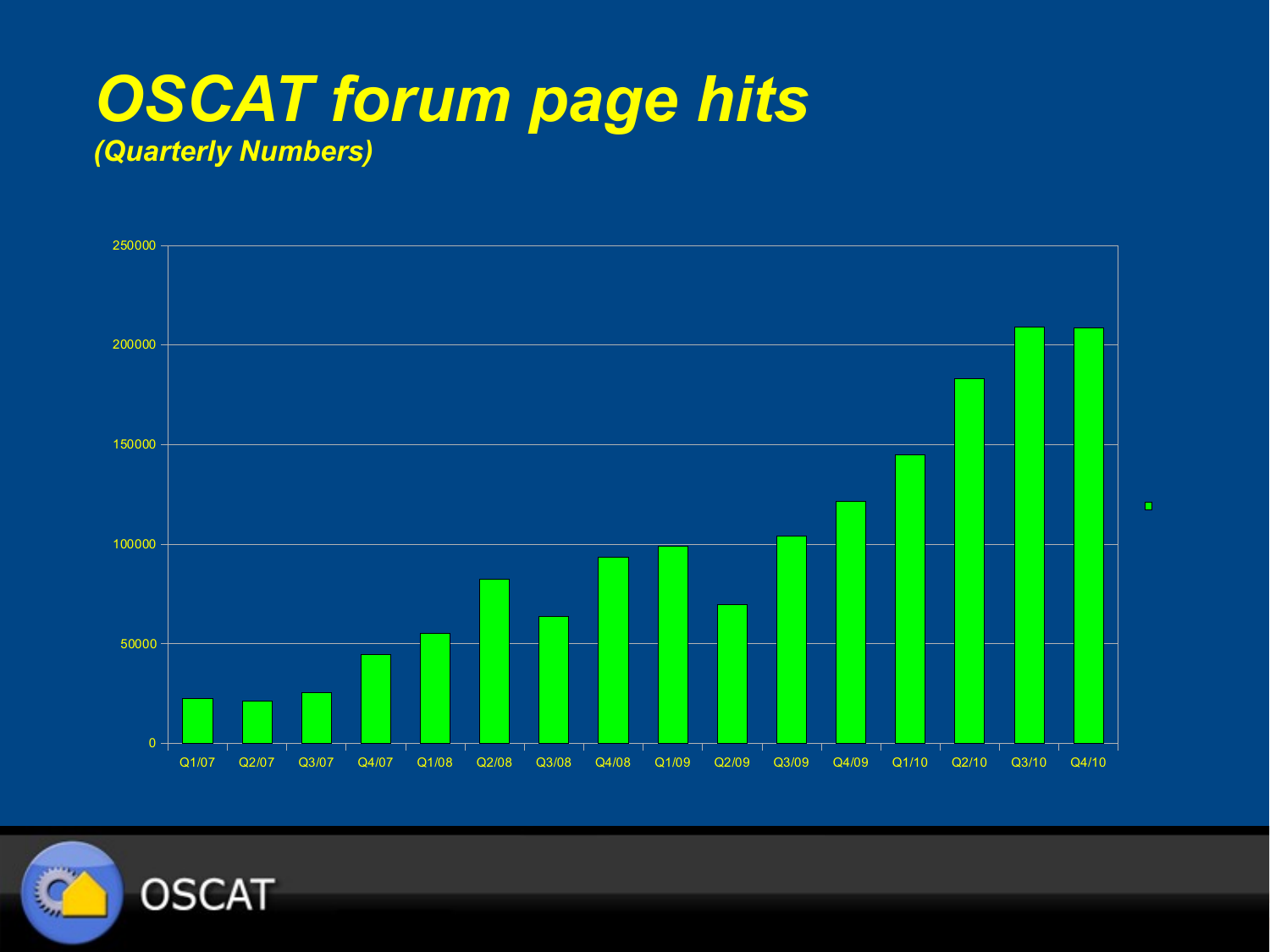#### *OSCAT forum page hits (Quarterly Numbers)*



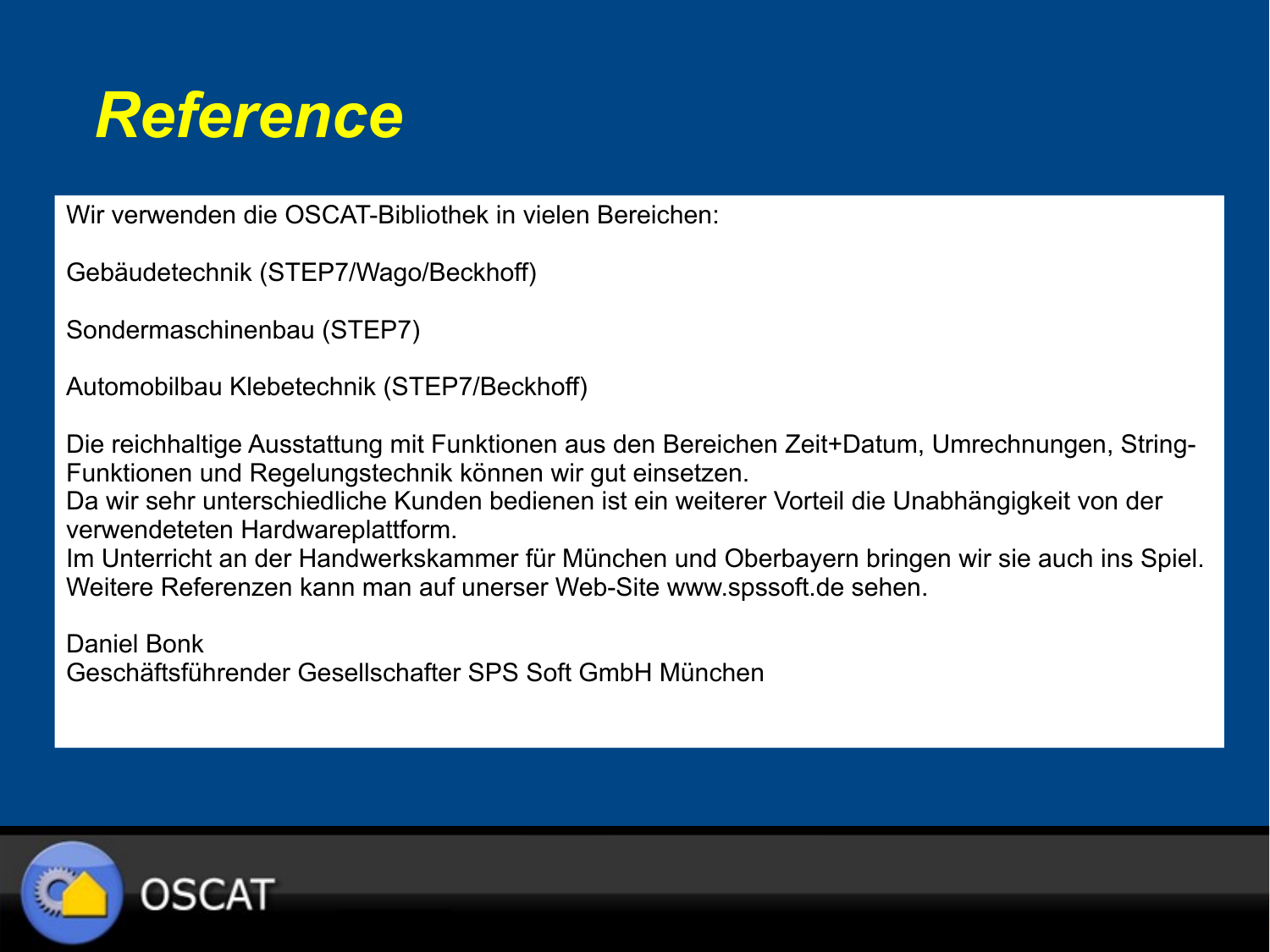#### *Reference*

Wir verwenden die OSCAT-Bibliothek in vielen Bereichen:

```
Gebäudetechnik (STEP7/Wago/Beckhoff)
```

```
Sondermaschinenbau (STEP7)
```

```
Automobilbau Klebetechnik (STEP7/Beckhoff)
```
Die reichhaltige Ausstattung mit Funktionen aus den Bereichen Zeit+Datum, Umrechnungen, String-Funktionen und Regelungstechnik können wir gut einsetzen.

Da wir sehr unterschiedliche Kunden bedienen ist ein weiterer Vorteil die Unabhängigkeit von der verwendeteten Hardwareplattform.

Im Unterricht an der Handwerkskammer für München und Oberbayern bringen wir sie auch ins Spiel. Weitere Referenzen kann man auf unerser Web-Site www.spssoft.de sehen.

Daniel Bonk Geschäftsführender Gesellschafter SPS Soft GmbH München

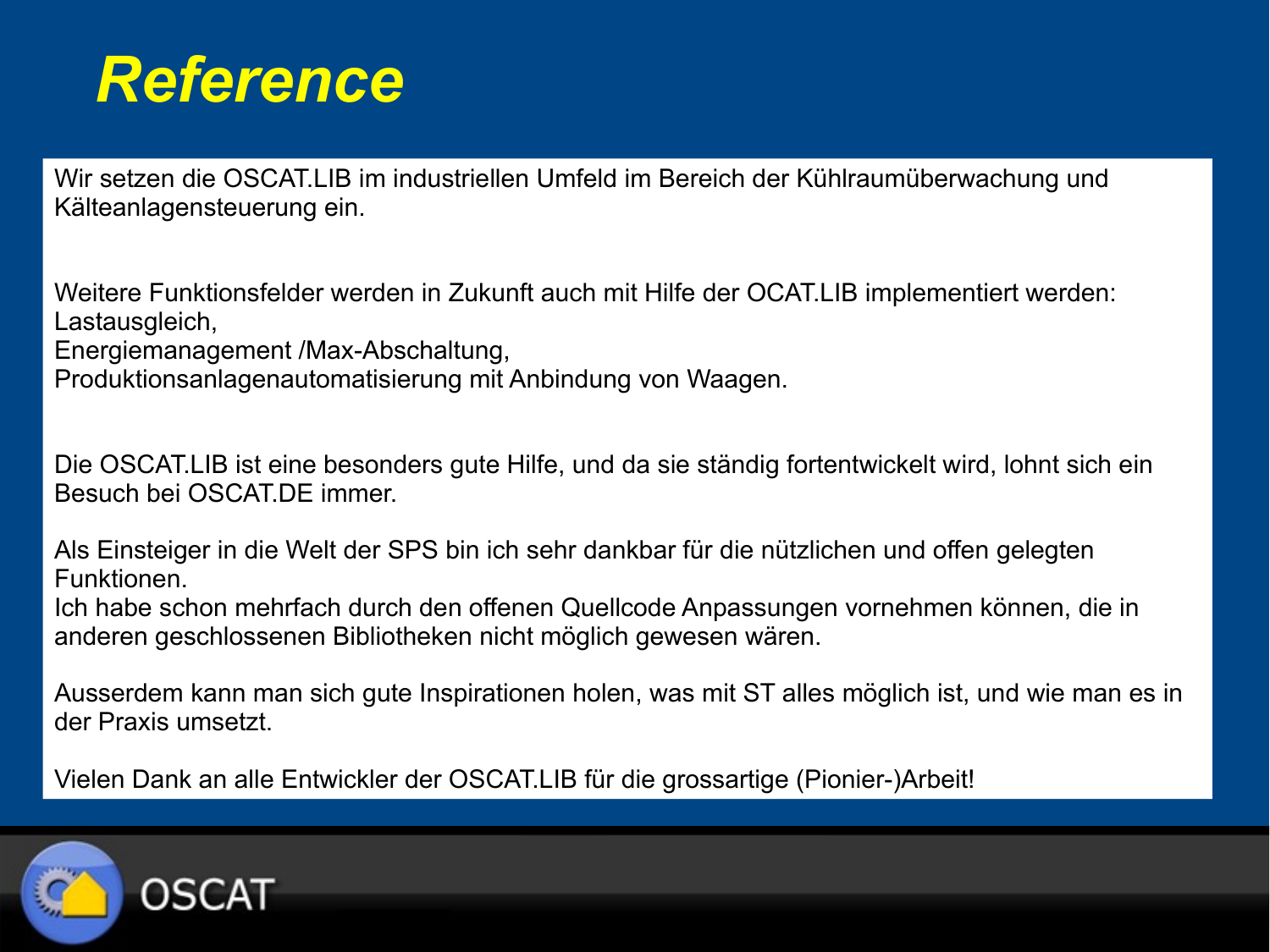#### *Reference*

Wir setzen die OSCAT.LIB im industriellen Umfeld im Bereich der Kühlraumüberwachung und Kälteanlagensteuerung ein.

Weitere Funktionsfelder werden in Zukunft auch mit Hilfe der OCAT.LIB implementiert werden: Lastausgleich,

Energiemanagement /Max-Abschaltung,

Produktionsanlagenautomatisierung mit Anbindung von Waagen.

Die OSCAT.LIB ist eine besonders gute Hilfe, und da sie ständig fortentwickelt wird, lohnt sich ein Besuch bei OSCAT.DE immer.

Als Einsteiger in die Welt der SPS bin ich sehr dankbar für die nützlichen und offen gelegten Funktionen.

Ich habe schon mehrfach durch den offenen Quellcode Anpassungen vornehmen können, die in anderen geschlossenen Bibliotheken nicht möglich gewesen wären.

Ausserdem kann man sich gute Inspirationen holen, was mit ST alles möglich ist, und wie man es in der Praxis umsetzt.

Vielen Dank an alle Entwickler der OSCAT.LIB für die grossartige (Pionier-)Arbeit!